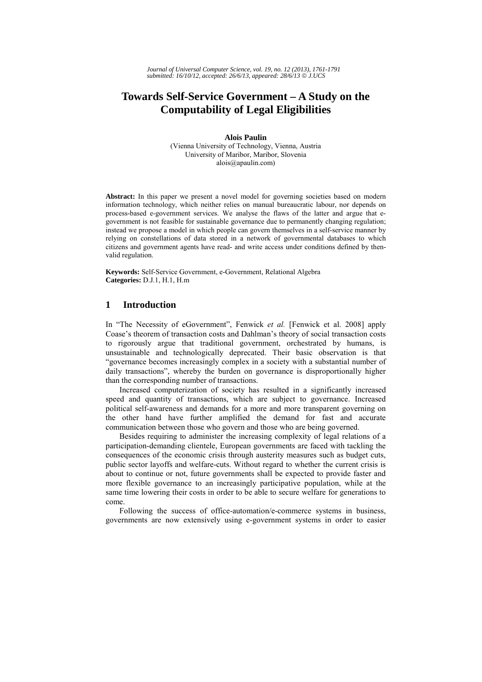# **Towards Self-Service Government – A Study on the Computability of Legal Eligibilities**

**Alois Paulin**  (Vienna University of Technology, Vienna, Austria University of Maribor, Maribor, Slovenia alois@apaulin.com)

**Abstract:** In this paper we present a novel model for governing societies based on modern information technology, which neither relies on manual bureaucratic labour, nor depends on process-based e-government services. We analyse the flaws of the latter and argue that egovernment is not feasible for sustainable governance due to permanently changing regulation; instead we propose a model in which people can govern themselves in a self-service manner by relying on constellations of data stored in a network of governmental databases to which citizens and government agents have read- and write access under conditions defined by thenvalid regulation.

**Keywords:** Self-Service Government, e-Government, Relational Algebra **Categories:** D.J.1, H.1, H.m

## **1 Introduction**

In "The Necessity of eGovernment", Fenwick *et al.* [Fenwick et al. 2008] apply Coase's theorem of transaction costs and Dahlman's theory of social transaction costs to rigorously argue that traditional government, orchestrated by humans, is unsustainable and technologically deprecated. Their basic observation is that "governance becomes increasingly complex in a society with a substantial number of daily transactions", whereby the burden on governance is disproportionally higher than the corresponding number of transactions.

Increased computerization of society has resulted in a significantly increased speed and quantity of transactions, which are subject to governance. Increased political self-awareness and demands for a more and more transparent governing on the other hand have further amplified the demand for fast and accurate communication between those who govern and those who are being governed.

Besides requiring to administer the increasing complexity of legal relations of a participation-demanding clientele, European governments are faced with tackling the consequences of the economic crisis through austerity measures such as budget cuts, public sector layoffs and welfare-cuts. Without regard to whether the current crisis is about to continue or not, future governments shall be expected to provide faster and more flexible governance to an increasingly participative population, while at the same time lowering their costs in order to be able to secure welfare for generations to come.

Following the success of office-automation/e-commerce systems in business, governments are now extensively using e-government systems in order to easier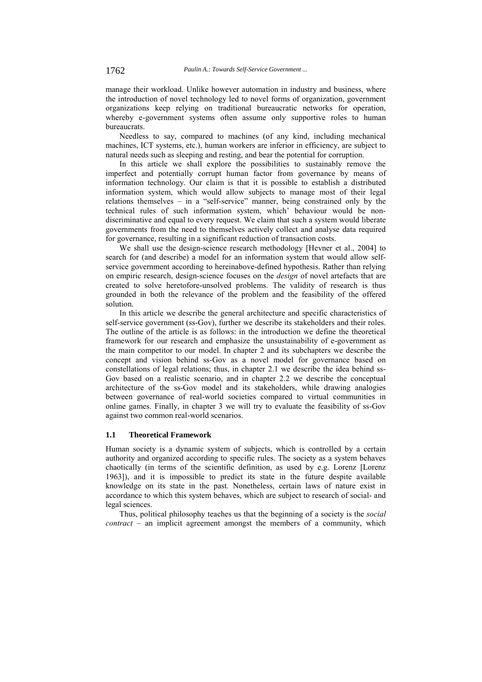manage their workload. Unlike however automation in industry and business, where the introduction of novel technology led to novel forms of organization, government organizations keep relying on traditional bureaucratic networks for operation, whereby e-government systems often assume only supportive roles to human bureaucrats.

Needless to say, compared to machines (of any kind, including mechanical machines, ICT systems, etc.), human workers are inferior in efficiency, are subject to natural needs such as sleeping and resting, and bear the potential for corruption.

In this article we shall explore the possibilities to sustainably remove the imperfect and potentially corrupt human factor from governance by means of information technology. Our claim is that it is possible to establish a distributed information system, which would allow subjects to manage most of their legal relations themselves – in a "self-service" manner, being constrained only by the technical rules of such information system, which' behaviour would be nondiscriminative and equal to every request. We claim that such a system would liberate governments from the need to themselves actively collect and analyse data required for governance, resulting in a significant reduction of transaction costs.

We shall use the design-science research methodology [Hevner et al., 2004] to search for (and describe) a model for an information system that would allow selfservice government according to hereinabove-defined hypothesis. Rather than relying on empiric research, design-science focuses on the *design* of novel artefacts that are created to solve heretofore-unsolved problems. The validity of research is thus grounded in both the relevance of the problem and the feasibility of the offered solution.

In this article we describe the general architecture and specific characteristics of self-service government (ss-Gov), further we describe its stakeholders and their roles. The outline of the article is as follows: in the introduction we define the theoretical framework for our research and emphasize the unsustainability of e-government as the main competitor to our model. In chapter 2 and its subchapters we describe the concept and vision behind ss-Gov as a novel model for governance based on constellations of legal relations; thus, in chapter 2.1 we describe the idea behind ss-Gov based on a realistic scenario, and in chapter 2.2 we describe the conceptual architecture of the ss-Gov model and its stakeholders, while drawing analogies between governance of real-world societies compared to virtual communities in online games. Finally, in chapter 3 we will try to evaluate the feasibility of ss-Gov against two common real-world scenarios.

### **1.1 Theoretical Framework**

Human society is a dynamic system of subjects, which is controlled by a certain authority and organized according to specific rules. The society as a system behaves chaotically (in terms of the scientific definition, as used by e.g. Lorenz [Lorenz 1963]), and it is impossible to predict its state in the future despite available knowledge on its state in the past. Nonetheless, certain laws of nature exist in accordance to which this system behaves, which are subject to research of social- and legal sciences.

Thus, political philosophy teaches us that the beginning of a society is the *social contract* – an implicit agreement amongst the members of a community, which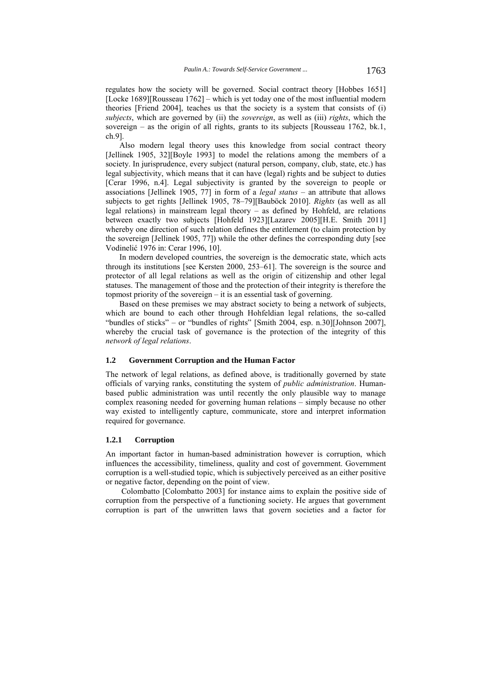regulates how the society will be governed. Social contract theory [Hobbes 1651] [Locke 1689][Rousseau 1762] – which is yet today one of the most influential modern theories [Friend 2004], teaches us that the society is a system that consists of (i) *subjects*, which are governed by (ii) the *sovereign*, as well as (iii) *rights*, which the sovereign – as the origin of all rights, grants to its subjects [Rousseau 1762, bk.1, ch.9].

Also modern legal theory uses this knowledge from social contract theory [Jellinek 1905, 32][Boyle 1993] to model the relations among the members of a society. In jurisprudence, every subject (natural person, company, club, state, etc.) has legal subjectivity, which means that it can have (legal) rights and be subject to duties [Cerar 1996, n.4]. Legal subjectivity is granted by the sovereign to people or associations [Jellinek 1905, 77] in form of a *legal status* – an attribute that allows subjects to get rights [Jellinek 1905, 78–79][Bauböck 2010]. *Rights* (as well as all legal relations) in mainstream legal theory – as defined by Hohfeld, are relations between exactly two subjects [Hohfeld 1923][Lazarev 2005][H.E. Smith 2011] whereby one direction of such relation defines the entitlement (to claim protection by the sovereign [Jellinek 1905, 77]) while the other defines the corresponding duty [see Vodinelić 1976 in: Cerar 1996, 10].

In modern developed countries, the sovereign is the democratic state, which acts through its institutions [see Kersten 2000, 253–61]. The sovereign is the source and protector of all legal relations as well as the origin of citizenship and other legal statuses. The management of those and the protection of their integrity is therefore the topmost priority of the sovereign – it is an essential task of governing.

Based on these premises we may abstract society to being a network of subjects, which are bound to each other through Hohfeldian legal relations, the so-called "bundles of sticks" – or "bundles of rights" [Smith 2004, esp. n.30][Johnson 2007], whereby the crucial task of governance is the protection of the integrity of this *network of legal relations*.

## **1.2 Government Corruption and the Human Factor**

The network of legal relations, as defined above, is traditionally governed by state officials of varying ranks, constituting the system of *public administration*. Humanbased public administration was until recently the only plausible way to manage complex reasoning needed for governing human relations – simply because no other way existed to intelligently capture, communicate, store and interpret information required for governance.

## **1.2.1 Corruption**

An important factor in human-based administration however is corruption, which influences the accessibility, timeliness, quality and cost of government. Government corruption is a well-studied topic, which is subjectively perceived as an either positive or negative factor, depending on the point of view.

 Colombatto [Colombatto 2003] for instance aims to explain the positive side of corruption from the perspective of a functioning society. He argues that government corruption is part of the unwritten laws that govern societies and a factor for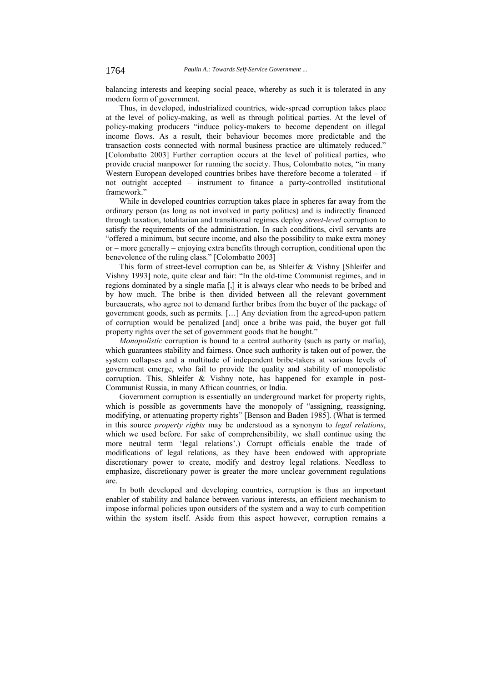balancing interests and keeping social peace, whereby as such it is tolerated in any modern form of government.

Thus, in developed, industrialized countries, wide-spread corruption takes place at the level of policy-making, as well as through political parties. At the level of policy-making producers "induce policy-makers to become dependent on illegal income flows. As a result, their behaviour becomes more predictable and the transaction costs connected with normal business practice are ultimately reduced." [Colombatto 2003] Further corruption occurs at the level of political parties, who provide crucial manpower for running the society. Thus, Colombatto notes, "in many Western European developed countries bribes have therefore become a tolerated – if not outright accepted – instrument to finance a party-controlled institutional framework"

While in developed countries corruption takes place in spheres far away from the ordinary person (as long as not involved in party politics) and is indirectly financed through taxation, totalitarian and transitional regimes deploy *street-level* corruption to satisfy the requirements of the administration. In such conditions, civil servants are "offered a minimum, but secure income, and also the possibility to make extra money or – more generally – enjoying extra benefits through corruption, conditional upon the benevolence of the ruling class." [Colombatto 2003]

This form of street-level corruption can be, as Shleifer & Vishny [Shleifer and Vishny 1993] note, quite clear and fair: "In the old-time Communist regimes, and in regions dominated by a single mafia [,] it is always clear who needs to be bribed and by how much. The bribe is then divided between all the relevant government bureaucrats, who agree not to demand further bribes from the buyer of the package of government goods, such as permits. […] Any deviation from the agreed-upon pattern of corruption would be penalized [and] once a bribe was paid, the buyer got full property rights over the set of government goods that he bought."

*Monopolistic* corruption is bound to a central authority (such as party or mafia), which guarantees stability and fairness. Once such authority is taken out of power, the system collapses and a multitude of independent bribe-takers at various levels of government emerge, who fail to provide the quality and stability of monopolistic corruption. This, Shleifer & Vishny note, has happened for example in post-Communist Russia, in many African countries, or India.

Government corruption is essentially an underground market for property rights, which is possible as governments have the monopoly of "assigning, reassigning, modifying, or attenuating property rights" [Benson and Baden 1985]. (What is termed in this source *property rights* may be understood as a synonym to *legal relations*, which we used before. For sake of comprehensibility, we shall continue using the more neutral term 'legal relations'.) Corrupt officials enable the trade of modifications of legal relations, as they have been endowed with appropriate discretionary power to create, modify and destroy legal relations. Needless to emphasize, discretionary power is greater the more unclear government regulations are.

In both developed and developing countries, corruption is thus an important enabler of stability and balance between various interests, an efficient mechanism to impose informal policies upon outsiders of the system and a way to curb competition within the system itself. Aside from this aspect however, corruption remains a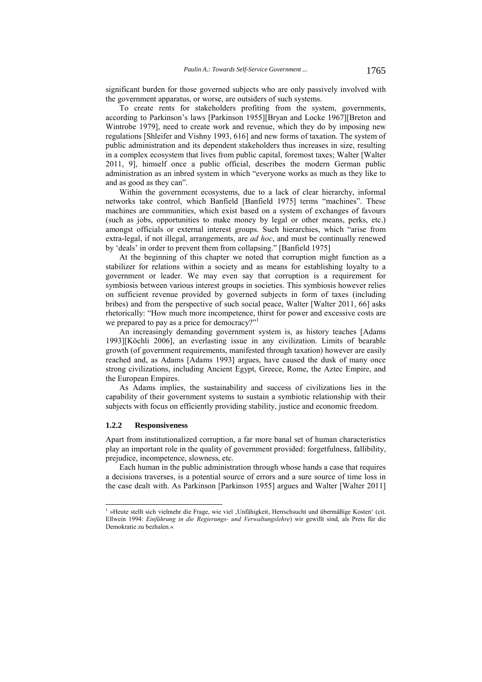significant burden for those governed subjects who are only passively involved with the government apparatus, or worse, are outsiders of such systems.

To create rents for stakeholders profiting from the system, governments, according to Parkinson's laws [Parkinson 1955][Bryan and Locke 1967][Breton and Wintrobe 1979], need to create work and revenue, which they do by imposing new regulations [Shleifer and Vishny 1993, 616] and new forms of taxation. The system of public administration and its dependent stakeholders thus increases in size, resulting in a complex ecosystem that lives from public capital, foremost taxes; Walter [Walter 2011, 9], himself once a public official, describes the modern German public administration as an inbred system in which "everyone works as much as they like to and as good as they can".

Within the government ecosystems, due to a lack of clear hierarchy, informal networks take control, which Banfield [Banfield 1975] terms "machines". These machines are communities, which exist based on a system of exchanges of favours (such as jobs, opportunities to make money by legal or other means, perks, etc.) amongst officials or external interest groups. Such hierarchies, which "arise from extra-legal, if not illegal, arrangements, are *ad hoc*, and must be continually renewed by 'deals' in order to prevent them from collapsing." [Banfield 1975]

At the beginning of this chapter we noted that corruption might function as a stabilizer for relations within a society and as means for establishing loyalty to a government or leader. We may even say that corruption is a requirement for symbiosis between various interest groups in societies. This symbiosis however relies on sufficient revenue provided by governed subjects in form of taxes (including bribes) and from the perspective of such social peace, Walter [Walter 2011, 66] asks rhetorically: "How much more incompetence, thirst for power and excessive costs are we prepared to pay as a price for democracy?"<sup>1</sup>

An increasingly demanding government system is, as history teaches [Adams 1993][Köchli 2006], an everlasting issue in any civilization. Limits of bearable growth (of government requirements, manifested through taxation) however are easily reached and, as Adams [Adams 1993] argues, have caused the dusk of many once strong civilizations, including Ancient Egypt, Greece, Rome, the Aztec Empire, and the European Empires.

As Adams implies, the sustainability and success of civilizations lies in the capability of their government systems to sustain a symbiotic relationship with their subjects with focus on efficiently providing stability, justice and economic freedom.

## **1.2.2 Responsiveness**

l

Apart from institutionalized corruption, a far more banal set of human characteristics play an important role in the quality of government provided: forgetfulness, fallibility, prejudice, incompetence, slowness, etc.

Each human in the public administration through whose hands a case that requires a decisions traverses, is a potential source of errors and a sure source of time loss in the case dealt with. As Parkinson [Parkinson 1955] argues and Walter [Walter 2011]

<sup>&</sup>lt;sup>1</sup> »Heute stellt sich vielmehr die Frage, wie viel ,Unfähigkeit, Herrschsucht und übermäßige Kosten' (cit. Ellwein 1994: *Einführung in die Regierungs- und Verwaltungslehre*) wir gewillt sind, als Preis für die Demokratie zu bezhalen.«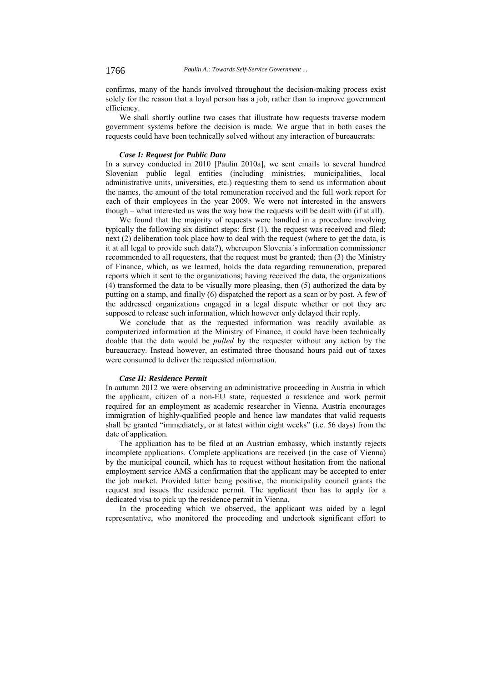confirms, many of the hands involved throughout the decision-making process exist solely for the reason that a loyal person has a job, rather than to improve government efficiency.

We shall shortly outline two cases that illustrate how requests traverse modern government systems before the decision is made. We argue that in both cases the requests could have been technically solved without any interaction of bureaucrats:

## *Case I: Request for Public Data*

In a survey conducted in 2010 [Paulin 2010a], we sent emails to several hundred Slovenian public legal entities (including ministries, municipalities, local administrative units, universities, etc.) requesting them to send us information about the names, the amount of the total remuneration received and the full work report for each of their employees in the year 2009. We were not interested in the answers though – what interested us was the way how the requests will be dealt with (if at all).

We found that the majority of requests were handled in a procedure involving typically the following six distinct steps: first (1), the request was received and filed; next (2) deliberation took place how to deal with the request (where to get the data, is it at all legal to provide such data?), whereupon Slovenia´s information commissioner recommended to all requesters, that the request must be granted; then (3) the Ministry of Finance, which, as we learned, holds the data regarding remuneration, prepared reports which it sent to the organizations; having received the data, the organizations (4) transformed the data to be visually more pleasing, then (5) authorized the data by putting on a stamp, and finally (6) dispatched the report as a scan or by post. A few of the addressed organizations engaged in a legal dispute whether or not they are supposed to release such information, which however only delayed their reply.

We conclude that as the requested information was readily available as computerized information at the Ministry of Finance, it could have been technically doable that the data would be *pulled* by the requester without any action by the bureaucracy. Instead however, an estimated three thousand hours paid out of taxes were consumed to deliver the requested information.

#### *Case II: Residence Permit*

In autumn 2012 we were observing an administrative proceeding in Austria in which the applicant, citizen of a non-EU state, requested a residence and work permit required for an employment as academic researcher in Vienna. Austria encourages immigration of highly-qualified people and hence law mandates that valid requests shall be granted "immediately, or at latest within eight weeks" (i.e. 56 days) from the date of application.

The application has to be filed at an Austrian embassy, which instantly rejects incomplete applications. Complete applications are received (in the case of Vienna) by the municipal council, which has to request without hesitation from the national employment service AMS a confirmation that the applicant may be accepted to enter the job market. Provided latter being positive, the municipality council grants the request and issues the residence permit. The applicant then has to apply for a dedicated visa to pick up the residence permit in Vienna.

In the proceeding which we observed, the applicant was aided by a legal representative, who monitored the proceeding and undertook significant effort to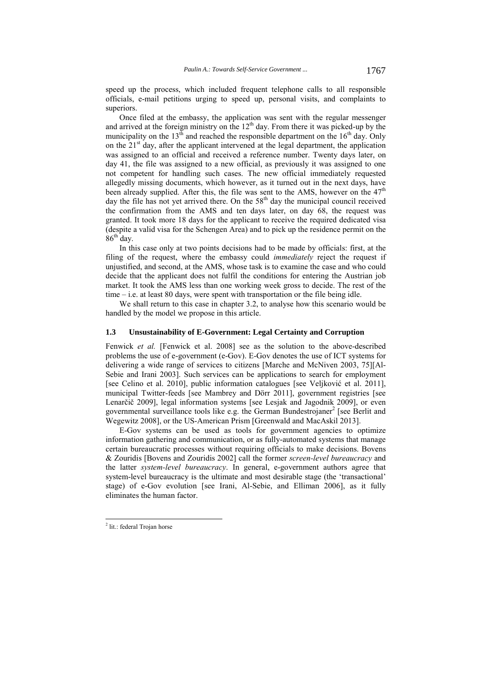speed up the process, which included frequent telephone calls to all responsible officials, e-mail petitions urging to speed up, personal visits, and complaints to superiors.

Once filed at the embassy, the application was sent with the regular messenger and arrived at the foreign ministry on the  $12<sup>th</sup>$  day. From there it was picked-up by the municipality on the  $13<sup>th</sup>$  and reached the responsible department on the  $16<sup>th</sup>$  day. Only on the  $21<sup>st</sup>$  day, after the applicant intervened at the legal department, the application was assigned to an official and received a reference number. Twenty days later, on day 41, the file was assigned to a new official, as previously it was assigned to one not competent for handling such cases. The new official immediately requested allegedly missing documents, which however, as it turned out in the next days, have been already supplied. After this, the file was sent to the AMS, however on the 47<sup>th</sup> day the file has not yet arrived there. On the  $58<sup>th</sup>$  day the municipal council received the confirmation from the AMS and ten days later, on day 68, the request was granted. It took more 18 days for the applicant to receive the required dedicated visa (despite a valid visa for the Schengen Area) and to pick up the residence permit on the  $86^{th}$  day.

In this case only at two points decisions had to be made by officials: first, at the filing of the request, where the embassy could *immediately* reject the request if unjustified, and second, at the AMS, whose task is to examine the case and who could decide that the applicant does not fulfil the conditions for entering the Austrian job market. It took the AMS less than one working week gross to decide. The rest of the time – i.e. at least 80 days, were spent with transportation or the file being idle.

We shall return to this case in chapter 3.2, to analyse how this scenario would be handled by the model we propose in this article.

## **1.3 Unsustainability of E-Government: Legal Certainty and Corruption**

Fenwick *et al.* [Fenwick et al. 2008] see as the solution to the above-described problems the use of e-government (e-Gov). E-Gov denotes the use of ICT systems for delivering a wide range of services to citizens [Marche and McNiven 2003, 75][Al-Sebie and Irani 2003]. Such services can be applications to search for employment [see Celino et al. 2010], public information catalogues [see Veljković et al. 2011], municipal Twitter-feeds [see Mambrey and Dörr 2011], government registries [see Lenarčič 2009], legal information systems [see Lesjak and Jagodnik 2009], or even governmental surveillance tools like e.g. the German Bundestrojaner<sup>2</sup> [see Berlit and Wegewitz 2008], or the US-American Prism [Greenwald and MacAskil 2013].

E-Gov systems can be used as tools for government agencies to optimize information gathering and communication, or as fully-automated systems that manage certain bureaucratic processes without requiring officials to make decisions. Bovens & Zouridis [Bovens and Zouridis 2002] call the former *screen-level bureaucracy* and the latter *system-level bureaucracy*. In general, e-government authors agree that system-level bureaucracy is the ultimate and most desirable stage (the 'transactional' stage) of e-Gov evolution [see Irani, Al-Sebie, and Elliman 2006], as it fully eliminates the human factor.

 2 lit.: federal Trojan horse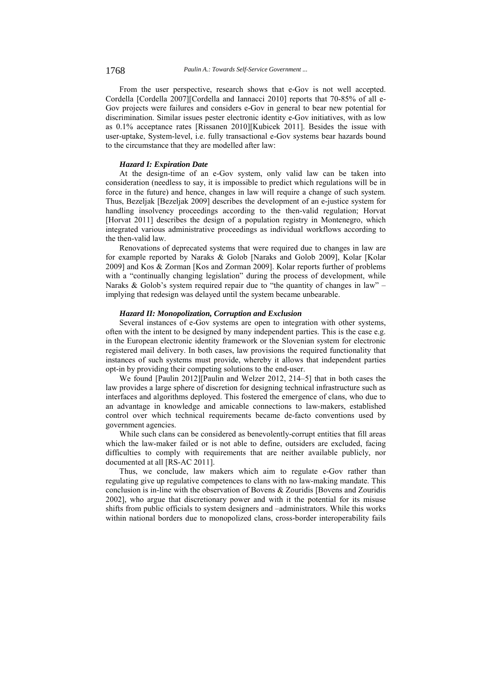From the user perspective, research shows that e-Gov is not well accepted. Cordella [Cordella 2007][Cordella and Iannacci 2010] reports that 70-85% of all e-Gov projects were failures and considers e-Gov in general to bear new potential for discrimination. Similar issues pester electronic identity e-Gov initiatives, with as low as 0.1% acceptance rates [Rissanen 2010][Kubicek 2011]. Besides the issue with user-uptake, System-level, i.e. fully transactional e-Gov systems bear hazards bound to the circumstance that they are modelled after law:

## *Hazard I: Expiration Date*

At the design-time of an e-Gov system, only valid law can be taken into consideration (needless to say, it is impossible to predict which regulations will be in force in the future) and hence, changes in law will require a change of such system. Thus, Bezeljak [Bezeljak 2009] describes the development of an e-justice system for handling insolvency proceedings according to the then-valid regulation; Horvat [Horvat 2011] describes the design of a population registry in Montenegro, which integrated various administrative proceedings as individual workflows according to the then-valid law.

Renovations of deprecated systems that were required due to changes in law are for example reported by Naraks & Golob [Naraks and Golob 2009], Kolar [Kolar 2009] and Kos & Zorman [Kos and Zorman 2009]. Kolar reports further of problems with a "continually changing legislation" during the process of development, while Naraks & Golob's system required repair due to "the quantity of changes in law" – implying that redesign was delayed until the system became unbearable.

#### *Hazard II: Monopolization, Corruption and Exclusion*

Several instances of e-Gov systems are open to integration with other systems, often with the intent to be designed by many independent parties. This is the case e.g. in the European electronic identity framework or the Slovenian system for electronic registered mail delivery. In both cases, law provisions the required functionality that instances of such systems must provide, whereby it allows that independent parties opt-in by providing their competing solutions to the end-user.

We found [Paulin 2012][Paulin and Welzer 2012, 214–5] that in both cases the law provides a large sphere of discretion for designing technical infrastructure such as interfaces and algorithms deployed. This fostered the emergence of clans, who due to an advantage in knowledge and amicable connections to law-makers, established control over which technical requirements became de-facto conventions used by government agencies.

While such clans can be considered as benevolently-corrupt entities that fill areas which the law-maker failed or is not able to define, outsiders are excluded, facing difficulties to comply with requirements that are neither available publicly, nor documented at all [RS-AC 2011].

Thus, we conclude, law makers which aim to regulate e-Gov rather than regulating give up regulative competences to clans with no law-making mandate. This conclusion is in-line with the observation of Bovens & Zouridis [Bovens and Zouridis 2002], who argue that discretionary power and with it the potential for its misuse shifts from public officials to system designers and –administrators. While this works within national borders due to monopolized clans, cross-border interoperability fails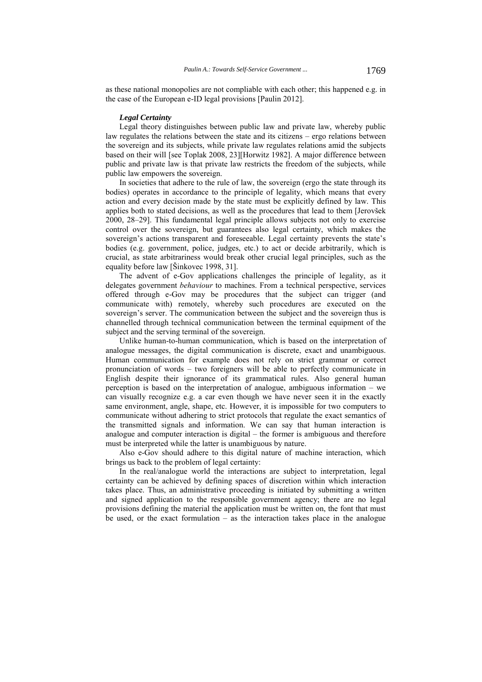as these national monopolies are not compliable with each other; this happened e.g. in the case of the European e-ID legal provisions [Paulin 2012].

#### *Legal Certainty*

Legal theory distinguishes between public law and private law, whereby public law regulates the relations between the state and its citizens – ergo relations between the sovereign and its subjects, while private law regulates relations amid the subjects based on their will [see Toplak 2008, 23][Horwitz 1982]. A major difference between public and private law is that private law restricts the freedom of the subjects, while public law empowers the sovereign.

In societies that adhere to the rule of law, the sovereign (ergo the state through its bodies) operates in accordance to the principle of legality, which means that every action and every decision made by the state must be explicitly defined by law. This applies both to stated decisions, as well as the procedures that lead to them [Jerovšek 2000, 28–29]. This fundamental legal principle allows subjects not only to exercise control over the sovereign, but guarantees also legal certainty, which makes the sovereign's actions transparent and foreseeable. Legal certainty prevents the state's bodies (e.g. government, police, judges, etc.) to act or decide arbitrarily, which is crucial, as state arbitrariness would break other crucial legal principles, such as the equality before law [Šinkovec 1998, 31].

The advent of e-Gov applications challenges the principle of legality, as it delegates government *behaviour* to machines. From a technical perspective, services offered through e-Gov may be procedures that the subject can trigger (and communicate with) remotely, whereby such procedures are executed on the sovereign's server. The communication between the subject and the sovereign thus is channelled through technical communication between the terminal equipment of the subject and the serving terminal of the sovereign.

Unlike human-to-human communication, which is based on the interpretation of analogue messages, the digital communication is discrete, exact and unambiguous. Human communication for example does not rely on strict grammar or correct pronunciation of words – two foreigners will be able to perfectly communicate in English despite their ignorance of its grammatical rules. Also general human perception is based on the interpretation of analogue, ambiguous information – we can visually recognize e.g. a car even though we have never seen it in the exactly same environment, angle, shape, etc. However, it is impossible for two computers to communicate without adhering to strict protocols that regulate the exact semantics of the transmitted signals and information. We can say that human interaction is analogue and computer interaction is digital – the former is ambiguous and therefore must be interpreted while the latter is unambiguous by nature.

Also e-Gov should adhere to this digital nature of machine interaction, which brings us back to the problem of legal certainty:

In the real/analogue world the interactions are subject to interpretation, legal certainty can be achieved by defining spaces of discretion within which interaction takes place. Thus, an administrative proceeding is initiated by submitting a written and signed application to the responsible government agency; there are no legal provisions defining the material the application must be written on, the font that must be used, or the exact formulation  $-$  as the interaction takes place in the analogue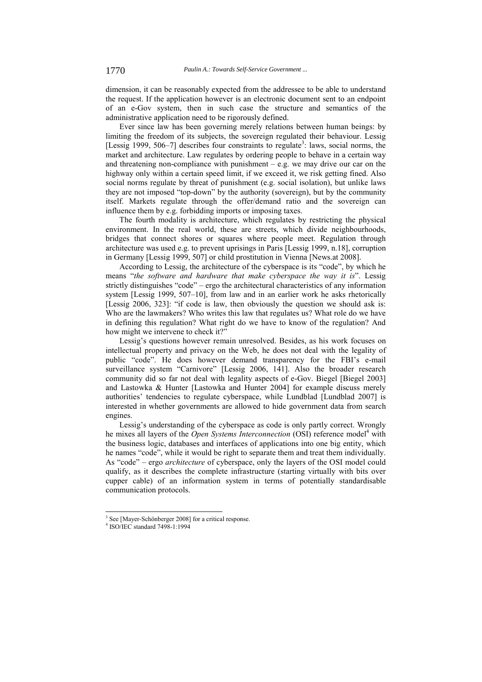dimension, it can be reasonably expected from the addressee to be able to understand the request. If the application however is an electronic document sent to an endpoint of an e-Gov system, then in such case the structure and semantics of the administrative application need to be rigorously defined.

Ever since law has been governing merely relations between human beings: by limiting the freedom of its subjects, the sovereign regulated their behaviour. Lessig [Lessig 1999, 506-7] describes four constraints to regulate<sup>3</sup>: laws, social norms, the market and architecture. Law regulates by ordering people to behave in a certain way and threatening non-compliance with punishment  $-$  e.g. we may drive our car on the highway only within a certain speed limit, if we exceed it, we risk getting fined. Also social norms regulate by threat of punishment (e.g. social isolation), but unlike laws they are not imposed "top-down" by the authority (sovereign), but by the community itself. Markets regulate through the offer/demand ratio and the sovereign can influence them by e.g. forbidding imports or imposing taxes.

The fourth modality is architecture, which regulates by restricting the physical environment. In the real world, these are streets, which divide neighbourhoods, bridges that connect shores or squares where people meet. Regulation through architecture was used e.g. to prevent uprisings in Paris [Lessig 1999, n.18], corruption in Germany [Lessig 1999, 507] or child prostitution in Vienna [News.at 2008].

According to Lessig, the architecture of the cyberspace is its "code", by which he means "*the software and hardware that make cyberspace the way it is*". Lessig strictly distinguishes "code" – ergo the architectural characteristics of any information system [Lessig 1999, 507–10], from law and in an earlier work he asks rhetorically [Lessig 2006, 323]: "if code is law, then obviously the question we should ask is: Who are the lawmakers? Who writes this law that regulates us? What role do we have in defining this regulation? What right do we have to know of the regulation? And how might we intervene to check it?"

Lessig's questions however remain unresolved. Besides, as his work focuses on intellectual property and privacy on the Web, he does not deal with the legality of public "code". He does however demand transparency for the FBI's e-mail surveillance system "Carnivore" [Lessig 2006, 141]. Also the broader research community did so far not deal with legality aspects of e-Gov. Biegel [Biegel 2003] and Lastowka & Hunter [Lastowka and Hunter 2004] for example discuss merely authorities' tendencies to regulate cyberspace, while Lundblad [Lundblad 2007] is interested in whether governments are allowed to hide government data from search engines.

Lessig's understanding of the cyberspace as code is only partly correct. Wrongly he mixes all layers of the *Open Systems Interconnection* (OSI) reference model<sup>4</sup> with the business logic, databases and interfaces of applications into one big entity, which he names "code", while it would be right to separate them and treat them individually. As "code" – ergo *architecture* of cyberspace, only the layers of the OSI model could qualify, as it describes the complete infrastructure (starting virtually with bits over cupper cable) of an information system in terms of potentially standardisable communication protocols.

<sup>&</sup>lt;sup>3</sup> See [Mayer-Schönberger 2008] for a critical response.

<sup>4</sup> ISO/IEC standard 7498-1:1994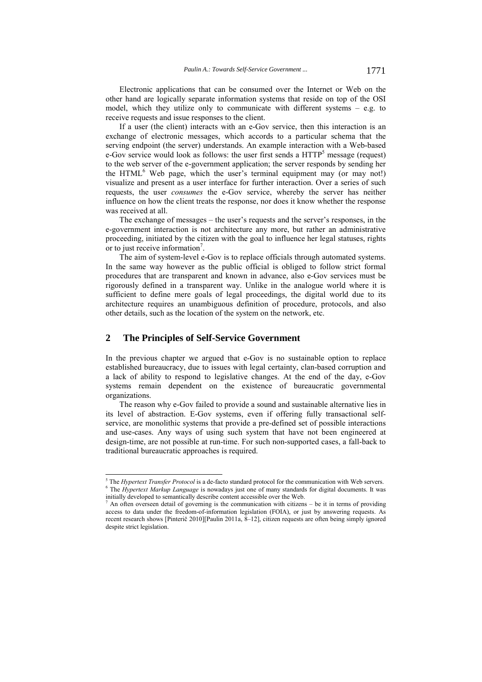Electronic applications that can be consumed over the Internet or Web on the other hand are logically separate information systems that reside on top of the OSI model, which they utilize only to communicate with different systems  $-$  e.g. to receive requests and issue responses to the client.

If a user (the client) interacts with an e-Gov service, then this interaction is an exchange of electronic messages, which accords to a particular schema that the serving endpoint (the server) understands. An example interaction with a Web-based  $e$ -Gov service would look as follows: the user first sends a  $HTTP<sup>5</sup>$  message (request) to the web server of the e-government application; the server responds by sending her the HTML<sup>6</sup> Web page, which the user's terminal equipment may (or may not!) visualize and present as a user interface for further interaction. Over a series of such requests, the user *consumes* the e-Gov service, whereby the server has neither influence on how the client treats the response, nor does it know whether the response was received at all.

The exchange of messages – the user's requests and the server's responses, in the e-government interaction is not architecture any more, but rather an administrative proceeding, initiated by the citizen with the goal to influence her legal statuses, rights or to just receive information<sup>7</sup>.

The aim of system-level e-Gov is to replace officials through automated systems. In the same way however as the public official is obliged to follow strict formal procedures that are transparent and known in advance, also e-Gov services must be rigorously defined in a transparent way. Unlike in the analogue world where it is sufficient to define mere goals of legal proceedings, the digital world due to its architecture requires an unambiguous definition of procedure, protocols, and also other details, such as the location of the system on the network, etc.

## **2 The Principles of Self-Service Government**

In the previous chapter we argued that e-Gov is no sustainable option to replace established bureaucracy, due to issues with legal certainty, clan-based corruption and a lack of ability to respond to legislative changes. At the end of the day, e-Gov systems remain dependent on the existence of bureaucratic governmental organizations.

The reason why e-Gov failed to provide a sound and sustainable alternative lies in its level of abstraction. E-Gov systems, even if offering fully transactional selfservice, are monolithic systems that provide a pre-defined set of possible interactions and use-cases. Any ways of using such system that have not been engineered at design-time, are not possible at run-time. For such non-supported cases, a fall-back to traditional bureaucratic approaches is required.

<sup>&</sup>lt;sup>5</sup> The *Hypertext Transfer Protocol* is a de-facto standard protocol for the communication with Web servers.<br><sup>6</sup> The *Hypertext Markup Lappugge* is pougdays just and of many standards for digital deguments. It was <sup>6</sup> The *Hypertext Markup Language* is nowadays just one of many standards for digital documents. It was initially developed to semantically describe content accessible over the Web.<br> $\frac{7}{6}$  An often overcean detail of governing is the communication with eitizency

An often overseen detail of governing is the communication with citizens – be it in terms of providing access to data under the freedom-of-information legislation (FOIA), or just by answering requests. As recent research shows [Pinterič 2010][Paulin 2011a, 8–12], citizen requests are often being simply ignored despite strict legislation.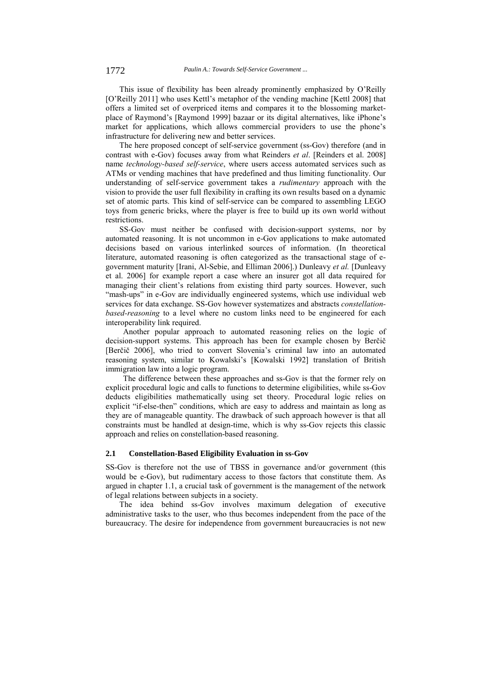This issue of flexibility has been already prominently emphasized by O'Reilly [O'Reilly 2011] who uses Kettl's metaphor of the vending machine [Kettl 2008] that offers a limited set of overpriced items and compares it to the blossoming marketplace of Raymond's [Raymond 1999] bazaar or its digital alternatives, like iPhone's market for applications, which allows commercial providers to use the phone's infrastructure for delivering new and better services.

The here proposed concept of self-service government (ss-Gov) therefore (and in contrast with e-Gov) focuses away from what Reinders *et al*. [Reinders et al. 2008] name *technology-based self-service*, where users access automated services such as ATMs or vending machines that have predefined and thus limiting functionality. Our understanding of self-service government takes a *rudimentary* approach with the vision to provide the user full flexibility in crafting its own results based on a dynamic set of atomic parts. This kind of self-service can be compared to assembling LEGO toys from generic bricks, where the player is free to build up its own world without restrictions.

SS-Gov must neither be confused with decision-support systems, nor by automated reasoning. It is not uncommon in e-Gov applications to make automated decisions based on various interlinked sources of information. (In theoretical literature, automated reasoning is often categorized as the transactional stage of egovernment maturity [Irani, Al-Sebie, and Elliman 2006].) Dunleavy *et al.* [Dunleavy et al. 2006] for example report a case where an insurer got all data required for managing their client's relations from existing third party sources. However, such "mash-ups" in e-Gov are individually engineered systems, which use individual web services for data exchange. SS-Gov however systematizes and abstracts *constellationbased-reasoning* to a level where no custom links need to be engineered for each interoperability link required.

Another popular approach to automated reasoning relies on the logic of decision-support systems. This approach has been for example chosen by Berčič [Berčič 2006], who tried to convert Slovenia's criminal law into an automated reasoning system, similar to Kowalski's [Kowalski 1992] translation of British immigration law into a logic program.

The difference between these approaches and ss-Gov is that the former rely on explicit procedural logic and calls to functions to determine eligibilities, while ss-Gov deducts eligibilities mathematically using set theory. Procedural logic relies on explicit "if-else-then" conditions, which are easy to address and maintain as long as they are of manageable quantity. The drawback of such approach however is that all constraints must be handled at design-time, which is why ss-Gov rejects this classic approach and relies on constellation-based reasoning.

## **2.1 Constellation-Based Eligibility Evaluation in ss-Gov**

SS-Gov is therefore not the use of TBSS in governance and/or government (this would be e-Gov), but rudimentary access to those factors that constitute them. As argued in chapter 1.1, a crucial task of government is the management of the network of legal relations between subjects in a society.

The idea behind ss-Gov involves maximum delegation of executive administrative tasks to the user, who thus becomes independent from the pace of the bureaucracy. The desire for independence from government bureaucracies is not new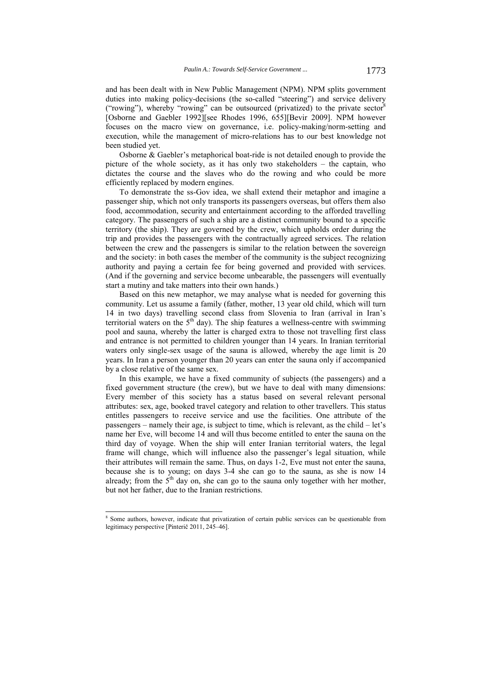and has been dealt with in New Public Management (NPM). NPM splits government duties into making policy-decisions (the so-called "steering") and service delivery ("rowing"), whereby "rowing" can be outsourced (privatized) to the private sector<sup>8</sup> [Osborne and Gaebler 1992][see Rhodes 1996, 655][Bevir 2009]. NPM however focuses on the macro view on governance, i.e. policy-making/norm-setting and execution, while the management of micro-relations has to our best knowledge not been studied yet.

Osborne & Gaebler's metaphorical boat-ride is not detailed enough to provide the picture of the whole society, as it has only two stakeholders – the captain, who dictates the course and the slaves who do the rowing and who could be more efficiently replaced by modern engines.

To demonstrate the ss-Gov idea, we shall extend their metaphor and imagine a passenger ship, which not only transports its passengers overseas, but offers them also food, accommodation, security and entertainment according to the afforded travelling category. The passengers of such a ship are a distinct community bound to a specific territory (the ship). They are governed by the crew, which upholds order during the trip and provides the passengers with the contractually agreed services. The relation between the crew and the passengers is similar to the relation between the sovereign and the society: in both cases the member of the community is the subject recognizing authority and paying a certain fee for being governed and provided with services. (And if the governing and service become unbearable, the passengers will eventually start a mutiny and take matters into their own hands.)

Based on this new metaphor, we may analyse what is needed for governing this community. Let us assume a family (father, mother, 13 year old child, which will turn 14 in two days) travelling second class from Slovenia to Iran (arrival in Iran's territorial waters on the  $5<sup>th</sup>$  day). The ship features a wellness-centre with swimming pool and sauna, whereby the latter is charged extra to those not travelling first class and entrance is not permitted to children younger than 14 years. In Iranian territorial waters only single-sex usage of the sauna is allowed, whereby the age limit is 20 years. In Iran a person younger than 20 years can enter the sauna only if accompanied by a close relative of the same sex.

In this example, we have a fixed community of subjects (the passengers) and a fixed government structure (the crew), but we have to deal with many dimensions: Every member of this society has a status based on several relevant personal attributes: sex, age, booked travel category and relation to other travellers. This status entitles passengers to receive service and use the facilities. One attribute of the passengers – namely their age, is subject to time, which is relevant, as the child – let's name her Eve, will become 14 and will thus become entitled to enter the sauna on the third day of voyage. When the ship will enter Iranian territorial waters, the legal frame will change, which will influence also the passenger's legal situation, while their attributes will remain the same. Thus, on days 1-2, Eve must not enter the sauna, because she is to young; on days 3-4 she can go to the sauna, as she is now 14 already; from the  $5<sup>th</sup>$  day on, she can go to the sauna only together with her mother, but not her father, due to the Iranian restrictions.

l

<sup>&</sup>lt;sup>8</sup> Some authors, however, indicate that privatization of certain public services can be questionable from legitimacy perspective [Pinterič 2011, 245–46].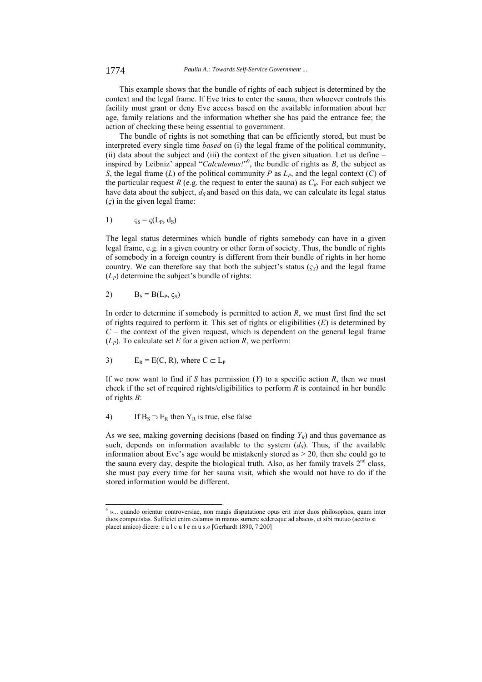1774 *Paulin A.: Towards Self-Service Government ...*

This example shows that the bundle of rights of each subject is determined by the context and the legal frame. If Eve tries to enter the sauna, then whoever controls this facility must grant or deny Eve access based on the available information about her age, family relations and the information whether she has paid the entrance fee; the action of checking these being essential to government.

The bundle of rights is not something that can be efficiently stored, but must be interpreted every single time *based* on (i) the legal frame of the political community, (ii) data about the subject and (iii) the context of the given situation. Let us define – inspired by Leibniz' appeal "*Calculemus!*" 9 , the bundle of rights as *B*, the subject as *S*, the legal frame (*L*) of the political community *P* as  $L_P$ , and the legal context (*C*) of the particular request *R* (e.g. the request to enter the sauna) as  $C_R$ . For each subject we have data about the subject,  $d<sub>S</sub>$  and based on this data, we can calculate its legal status (*ς*) in the given legal frame:

1) 
$$
\zeta_{\rm S} = \zeta(L_{\rm P}, d_{\rm S})
$$

The legal status determines which bundle of rights somebody can have in a given legal frame, e.g. in a given country or other form of society. Thus, the bundle of rights of somebody in a foreign country is different from their bundle of rights in her home country. We can therefore say that both the subject's status  $(\varsigma_S)$  and the legal frame  $(L_P)$  determine the subject's bundle of rights:

$$
B_S = B(L_P, \varsigma_S)
$$

l

In order to determine if somebody is permitted to action *R*, we must first find the set of rights required to perform it. This set of rights or eligibilities (*E*) is determined by  $C$  – the context of the given request, which is dependent on the general legal frame  $(L_P)$ . To calculate set *E* for a given action *R*, we perform:

3) 
$$
E_R = E(C, R)
$$
, where  $C \subset L_P$ 

If we now want to find if *S* has permission (*Y*) to a specific action *R*, then we must check if the set of required rights/eligibilities to perform *R* is contained in her bundle of rights *B*:

4) If  $B_S \supset E_R$  then  $Y_R$  is true, else false

As we see, making governing decisions (based on finding  $Y_R$ ) and thus governance as such, depends on information available to the system  $(d<sub>S</sub>)$ . Thus, if the available information about Eve's age would be mistakenly stored as > 20, then she could go to the sauna every day, despite the biological truth. Also, as her family travels  $2<sup>nd</sup>$  class, she must pay every time for her sauna visit, which she would not have to do if the stored information would be different.

<sup>9</sup> »... quando orientur controversiae, non magis disputatione opus erit inter duos philosophos, quam inter duos computistas. Sufficiet enim calamos in manus sumere sedereque ad abacos, et sibi mutuo (accito si placet amico) dicere: c a l c u l e m u s.« [Gerhardt 1890, 7:200]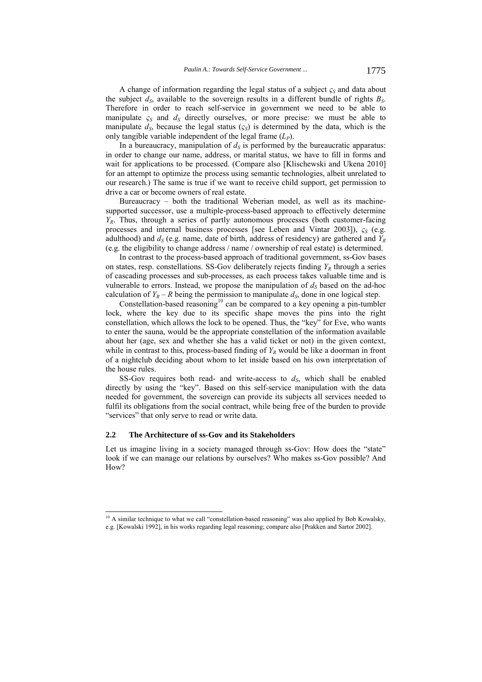A change of information regarding the legal status of a subject  $\zeta$ *S* and data about the subject  $d_S$ , available to the sovereign results in a different bundle of rights  $B_S$ . Therefore in order to reach self-service in government we need to be able to manipulate  $\varsigma$ <sub>S</sub> and  $d_S$  directly ourselves, or more precise: we must be able to manipulate  $d_S$ , because the legal status  $(c_S)$  is determined by the data, which is the only tangible variable independent of the legal frame (*LP*).

In a bureaucracy, manipulation of  $d<sub>S</sub>$  is performed by the bureaucratic apparatus: in order to change our name, address, or marital status, we have to fill in forms and wait for applications to be processed. (Compare also [Klischewski and Ukena 2010] for an attempt to optimize the process using semantic technologies, albeit unrelated to our research.) The same is true if we want to receive child support, get permission to drive a car or become owners of real estate.

Bureaucracy – both the traditional Weberian model, as well as its machinesupported successor, use a multiple-process-based approach to effectively determine *YR*. Thus, through a series of partly autonomous processes (both customer-facing processes and internal business processes [see Leben and Vintar 2003]), *ςS* (e.g. adulthood) and  $d_S$  (e.g. name, date of birth, address of residency) are gathered and  $Y_R$ (e.g. the eligibility to change address / name / ownership of real estate) is determined.

In contrast to the process-based approach of traditional government, ss-Gov bases on states, resp. constellations. SS-Gov deliberately rejects finding  $Y_R$  through a series of cascading processes and sub-processes, as each process takes valuable time and is vulnerable to errors. Instead, we propose the manipulation of  $d<sub>S</sub>$  based on the ad-hoc calculation of  $Y_R - R$  being the permission to manipulate  $d_S$ , done in one logical step.

Constellation-based reasoning<sup>10</sup> can be compared to a key opening a pin-tumbler lock, where the key due to its specific shape moves the pins into the right constellation, which allows the lock to be opened. Thus, the "key" for Eve, who wants to enter the sauna, would be the appropriate constellation of the information available about her (age, sex and whether she has a valid ticket or not) in the given context, while in contrast to this, process-based finding of  $Y_R$  would be like a doorman in front of a nightclub deciding about whom to let inside based on his own interpretation of the house rules.

SS-Gov requires both read- and write-access to  $d<sub>S</sub>$ , which shall be enabled directly by using the "key". Based on this self-service manipulation with the data needed for government, the sovereign can provide its subjects all services needed to fulfil its obligations from the social contract, while being free of the burden to provide "services" that only serve to read or write data.

#### **2.2 The Architecture of ss-Gov and its Stakeholders**

l

Let us imagine living in a society managed through ss-Gov: How does the "state" look if we can manage our relations by ourselves? Who makes ss-Gov possible? And H<sub>ow</sub>?

 $10$  A similar technique to what we call "constellation-based reasoning" was also applied by Bob Kowalsky, e.g. [Kowalski 1992], in his works regarding legal reasoning; compare also [Prakken and Sartor 2002].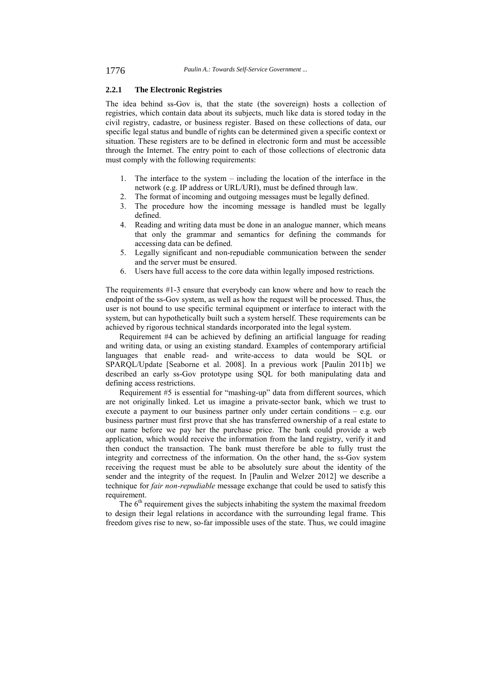## **2.2.1 The Electronic Registries**

The idea behind ss-Gov is, that the state (the sovereign) hosts a collection of registries, which contain data about its subjects, much like data is stored today in the civil registry, cadastre, or business register. Based on these collections of data, our specific legal status and bundle of rights can be determined given a specific context or situation. These registers are to be defined in electronic form and must be accessible through the Internet. The entry point to each of those collections of electronic data must comply with the following requirements:

- 1. The interface to the system including the location of the interface in the network (e.g. IP address or URL/URI), must be defined through law.
- 2. The format of incoming and outgoing messages must be legally defined.
- 3. The procedure how the incoming message is handled must be legally defined.
- 4. Reading and writing data must be done in an analogue manner, which means that only the grammar and semantics for defining the commands for accessing data can be defined.
- 5. Legally significant and non-repudiable communication between the sender and the server must be ensured.
- 6. Users have full access to the core data within legally imposed restrictions.

The requirements #1-3 ensure that everybody can know where and how to reach the endpoint of the ss-Gov system, as well as how the request will be processed. Thus, the user is not bound to use specific terminal equipment or interface to interact with the system, but can hypothetically built such a system herself. These requirements can be achieved by rigorous technical standards incorporated into the legal system.

Requirement #4 can be achieved by defining an artificial language for reading and writing data, or using an existing standard. Examples of contemporary artificial languages that enable read- and write-access to data would be SQL or SPARQL/Update [Seaborne et al. 2008]. In a previous work [Paulin 2011b] we described an early ss-Gov prototype using SQL for both manipulating data and defining access restrictions.

Requirement #5 is essential for "mashing-up" data from different sources, which are not originally linked. Let us imagine a private-sector bank, which we trust to execute a payment to our business partner only under certain conditions – e.g. our business partner must first prove that she has transferred ownership of a real estate to our name before we pay her the purchase price. The bank could provide a web application, which would receive the information from the land registry, verify it and then conduct the transaction. The bank must therefore be able to fully trust the integrity and correctness of the information. On the other hand, the ss-Gov system receiving the request must be able to be absolutely sure about the identity of the sender and the integrity of the request. In [Paulin and Welzer 2012] we describe a technique for *fair non-repudiable* message exchange that could be used to satisfy this requirement.

The  $6<sup>th</sup>$  requirement gives the subjects inhabiting the system the maximal freedom to design their legal relations in accordance with the surrounding legal frame. This freedom gives rise to new, so-far impossible uses of the state. Thus, we could imagine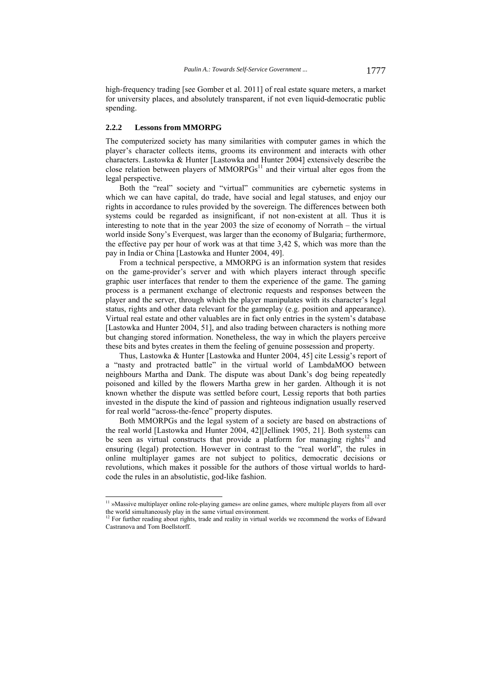high-frequency trading [see Gomber et al. 2011] of real estate square meters, a market for university places, and absolutely transparent, if not even liquid-democratic public spending.

#### **2.2.2 Lessons from MMORPG**

l

The computerized society has many similarities with computer games in which the player's character collects items, grooms its environment and interacts with other characters. Lastowka & Hunter [Lastowka and Hunter 2004] extensively describe the close relation between players of  $MMORPGs<sup>11</sup>$  and their virtual alter egos from the legal perspective.

Both the "real" society and "virtual" communities are cybernetic systems in which we can have capital, do trade, have social and legal statuses, and enjoy our rights in accordance to rules provided by the sovereign. The differences between both systems could be regarded as insignificant, if not non-existent at all. Thus it is interesting to note that in the year 2003 the size of economy of Norrath – the virtual world inside Sony's Everquest, was larger than the economy of Bulgaria; furthermore, the effective pay per hour of work was at that time 3,42 \$, which was more than the pay in India or China [Lastowka and Hunter 2004, 49].

From a technical perspective, a MMORPG is an information system that resides on the game-provider's server and with which players interact through specific graphic user interfaces that render to them the experience of the game. The gaming process is a permanent exchange of electronic requests and responses between the player and the server, through which the player manipulates with its character's legal status, rights and other data relevant for the gameplay (e.g. position and appearance). Virtual real estate and other valuables are in fact only entries in the system's database [Lastowka and Hunter 2004, 51], and also trading between characters is nothing more but changing stored information. Nonetheless, the way in which the players perceive these bits and bytes creates in them the feeling of genuine possession and property.

Thus, Lastowka & Hunter [Lastowka and Hunter 2004, 45] cite Lessig's report of a "nasty and protracted battle" in the virtual world of LambdaMOO between neighbours Martha and Dank. The dispute was about Dank's dog being repeatedly poisoned and killed by the flowers Martha grew in her garden. Although it is not known whether the dispute was settled before court, Lessig reports that both parties invested in the dispute the kind of passion and righteous indignation usually reserved for real world "across-the-fence" property disputes.

Both MMORPGs and the legal system of a society are based on abstractions of the real world [Lastowka and Hunter 2004, 42][Jellinek 1905, 21]. Both systems can be seen as virtual constructs that provide a platform for managing rights $12$  and ensuring (legal) protection. However in contrast to the "real world", the rules in online multiplayer games are not subject to politics, democratic decisions or revolutions, which makes it possible for the authors of those virtual worlds to hardcode the rules in an absolutistic, god-like fashion.

 $11$  »Massive multiplayer online role-playing games« are online games, where multiple players from all over the world simultaneously play in the same virtual environment.

<sup>&</sup>lt;sup>12</sup> For further reading about rights, trade and reality in virtual worlds we recommend the works of Edward Castranova and Tom Boellstorff.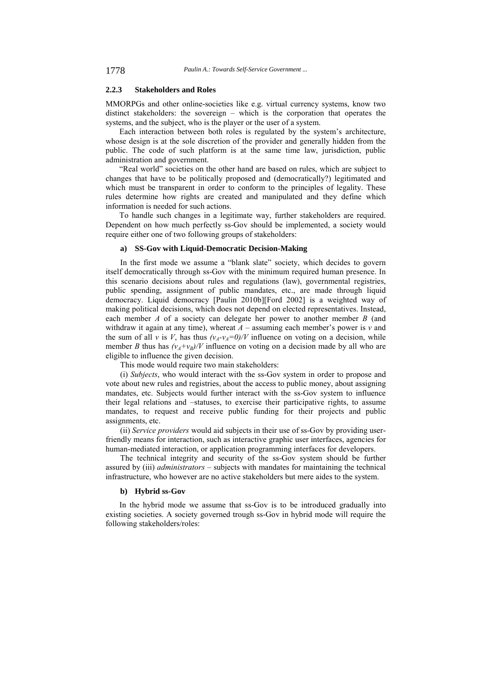## **2.2.3 Stakeholders and Roles**

MMORPGs and other online-societies like e.g. virtual currency systems, know two distinct stakeholders: the sovereign – which is the corporation that operates the systems, and the subject, who is the player or the user of a system.

Each interaction between both roles is regulated by the system's architecture, whose design is at the sole discretion of the provider and generally hidden from the public. The code of such platform is at the same time law, jurisdiction, public administration and government.

"Real world" societies on the other hand are based on rules, which are subject to changes that have to be politically proposed and (democratically?) legitimated and which must be transparent in order to conform to the principles of legality. These rules determine how rights are created and manipulated and they define which information is needed for such actions.

To handle such changes in a legitimate way, further stakeholders are required. Dependent on how much perfectly ss-Gov should be implemented, a society would require either one of two following groups of stakeholders:

#### **a) SS-Gov with Liquid-Democratic Decision-Making**

In the first mode we assume a "blank slate" society, which decides to govern itself democratically through ss-Gov with the minimum required human presence. In this scenario decisions about rules and regulations (law), governmental registries, public spending, assignment of public mandates, etc., are made through liquid democracy. Liquid democracy [Paulin 2010b][Ford 2002] is a weighted way of making political decisions, which does not depend on elected representatives. Instead, each member *A* of a society can delegate her power to another member *B* (and withdraw it again at any time), whereat  $A$  – assuming each member's power is  $v$  and the sum of all *v* is *V*, has thus  $(v_A - v_A = 0)/V$  influence on voting on a decision, while member *B* thus has  $(v_A + v_B)/V$  influence on voting on a decision made by all who are eligible to influence the given decision.

This mode would require two main stakeholders:

(i) *Subjects*, who would interact with the ss-Gov system in order to propose and vote about new rules and registries, about the access to public money, about assigning mandates, etc. Subjects would further interact with the ss-Gov system to influence their legal relations and –statuses, to exercise their participative rights, to assume mandates, to request and receive public funding for their projects and public assignments, etc.

(ii) *Service providers* would aid subjects in their use of ss-Gov by providing userfriendly means for interaction, such as interactive graphic user interfaces, agencies for human-mediated interaction, or application programming interfaces for developers.

The technical integrity and security of the ss-Gov system should be further assured by (iii) *administrators* – subjects with mandates for maintaining the technical infrastructure, who however are no active stakeholders but mere aides to the system.

## **b) Hybrid ss-Gov**

In the hybrid mode we assume that ss-Gov is to be introduced gradually into existing societies. A society governed trough ss-Gov in hybrid mode will require the following stakeholders/roles: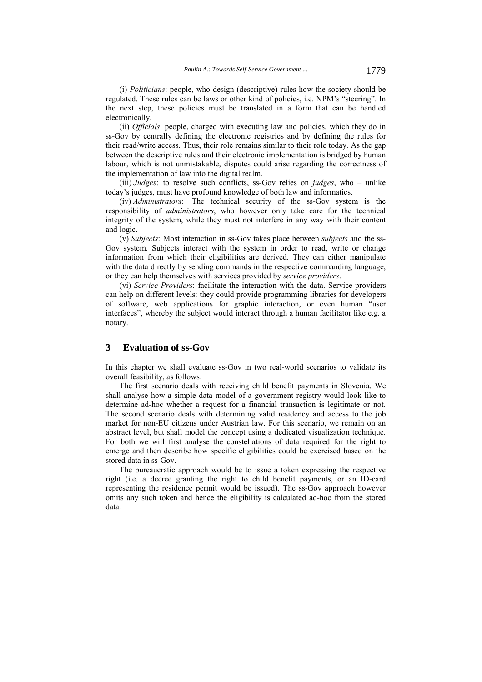(i) *Politicians*: people, who design (descriptive) rules how the society should be regulated. These rules can be laws or other kind of policies, i.e. NPM's "steering". In the next step, these policies must be translated in a form that can be handled electronically.

(ii) *Officials*: people, charged with executing law and policies, which they do in ss-Gov by centrally defining the electronic registries and by defining the rules for their read/write access. Thus, their role remains similar to their role today. As the gap between the descriptive rules and their electronic implementation is bridged by human labour, which is not unmistakable, disputes could arise regarding the correctness of the implementation of law into the digital realm.

(iii) *Judges*: to resolve such conflicts, ss-Gov relies on *judges*, who – unlike today's judges, must have profound knowledge of both law and informatics.

(iv) *Administrators*: The technical security of the ss-Gov system is the responsibility of *administrators*, who however only take care for the technical integrity of the system, while they must not interfere in any way with their content and logic.

(v) *Subjects*: Most interaction in ss-Gov takes place between *subjects* and the ss-Gov system. Subjects interact with the system in order to read, write or change information from which their eligibilities are derived. They can either manipulate with the data directly by sending commands in the respective commanding language, or they can help themselves with services provided by *service providers*.

(vi) *Service Providers*: facilitate the interaction with the data. Service providers can help on different levels: they could provide programming libraries for developers of software, web applications for graphic interaction, or even human "user interfaces", whereby the subject would interact through a human facilitator like e.g. a notary.

## **3 Evaluation of ss-Gov**

In this chapter we shall evaluate ss-Gov in two real-world scenarios to validate its overall feasibility, as follows:

The first scenario deals with receiving child benefit payments in Slovenia. We shall analyse how a simple data model of a government registry would look like to determine ad-hoc whether a request for a financial transaction is legitimate or not. The second scenario deals with determining valid residency and access to the job market for non-EU citizens under Austrian law. For this scenario, we remain on an abstract level, but shall model the concept using a dedicated visualization technique. For both we will first analyse the constellations of data required for the right to emerge and then describe how specific eligibilities could be exercised based on the stored data in ss-Gov.

The bureaucratic approach would be to issue a token expressing the respective right (i.e. a decree granting the right to child benefit payments, or an ID-card representing the residence permit would be issued). The ss-Gov approach however omits any such token and hence the eligibility is calculated ad-hoc from the stored data.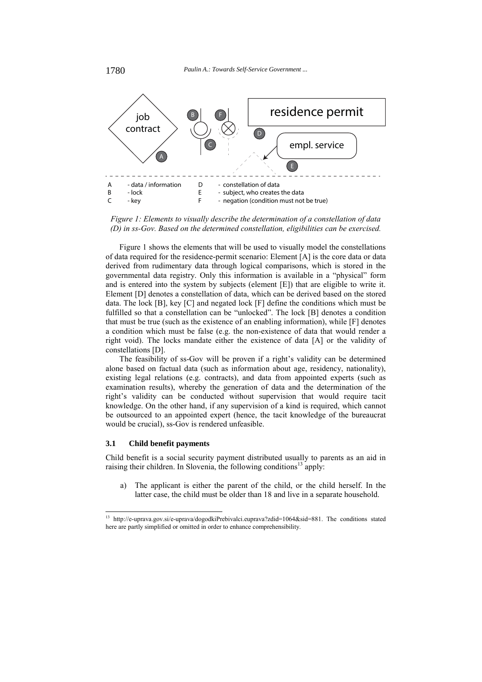

*Figure 1: Elements to visually describe the determination of a constellation of data (D) in ss-Gov. Based on the determined constellation, eligibilities can be exercised.* 

Figure 1 shows the elements that will be used to visually model the constellations of data required for the residence-permit scenario: Element [A] is the core data or data derived from rudimentary data through logical comparisons, which is stored in the governmental data registry. Only this information is available in a "physical" form and is entered into the system by subjects (element [E]) that are eligible to write it. Element [D] denotes a constellation of data, which can be derived based on the stored data. The lock [B], key [C] and negated lock [F] define the conditions which must be fulfilled so that a constellation can be "unlocked". The lock [B] denotes a condition that must be true (such as the existence of an enabling information), while [F] denotes a condition which must be false (e.g. the non-existence of data that would render a right void). The locks mandate either the existence of data [A] or the validity of constellations [D].

The feasibility of ss-Gov will be proven if a right's validity can be determined alone based on factual data (such as information about age, residency, nationality), existing legal relations (e.g. contracts), and data from appointed experts (such as examination results), whereby the generation of data and the determination of the right's validity can be conducted without supervision that would require tacit knowledge. On the other hand, if any supervision of a kind is required, which cannot be outsourced to an appointed expert (hence, the tacit knowledge of the bureaucrat would be crucial), ss-Gov is rendered unfeasible.

## **3.1 Child benefit payments**

Child benefit is a social security payment distributed usually to parents as an aid in raising their children. In Slovenia, the following conditions<sup>13</sup> apply:

a) The applicant is either the parent of the child, or the child herself. In the latter case, the child must be older than 18 and live in a separate household.

 $13\,$ http://e-uprava.gov.si/e-uprava/dogodkiPrebivalci.euprava?zdid=1064&sid=881. The conditions stated here are partly simplified or omitted in order to enhance comprehensibility.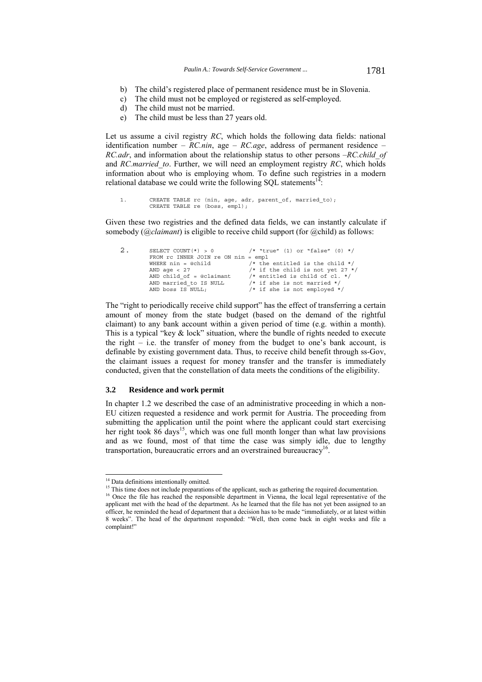- b) The child's registered place of permanent residence must be in Slovenia.
- c) The child must not be employed or registered as self-employed.
- d) The child must not be married.
- e) The child must be less than 27 years old.

Let us assume a civil registry *RC*, which holds the following data fields: national identification number – *RC.nin*, age – *RC.age*, address of permanent residence – *RC.adr*, and information about the relationship status to other persons –*RC.child\_of*  and *RC.married\_to*. Further, we will need an employment registry *RC*, which holds information about who is employing whom. To define such registries in a modern relational database we could write the following SOL statements $1<sup>2</sup>$ 

```
1. CREATE TABLE rc (nin, age, adr, parent_of, married_to); 
        CREATE TABLE re (boss, empl);
```
Given these two registries and the defined data fields, we can instantly calculate if somebody (*@claimant*) is eligible to receive child support (for @child) as follows:

```
2. SELECT COUNT(*) > 0 /* "true" (1) or "false" (0) */
            FROM rc INNER JOIN re ON nin = empl 
            WHERE nin = @child \frac{1}{2} /* the entitled is the child */<br>AND age < 27 \frac{1}{2} /* if the child is not yet 27 *
            AND age < 27 /* if the child is not yet 27 */ 
AND child_of = @claimant /* entitled is child of cl. */ 
            AND married_to IS NULL /* if she is not married */ 
AND boss IS NULL; /* if she is not employed */
```
The "right to periodically receive child support" has the effect of transferring a certain amount of money from the state budget (based on the demand of the rightful claimant) to any bank account within a given period of time (e.g. within a month). This is a typical "key  $\&$  lock" situation, where the bundle of rights needed to execute the right – i.e. the transfer of money from the budget to one's bank account, is definable by existing government data. Thus, to receive child benefit through ss-Gov, the claimant issues a request for money transfer and the transfer is immediately conducted, given that the constellation of data meets the conditions of the eligibility.

#### **3.2 Residence and work permit**

In chapter 1.2 we described the case of an administrative proceeding in which a non-EU citizen requested a residence and work permit for Austria. The proceeding from submitting the application until the point where the applicant could start exercising her right took  $86$  days<sup>15</sup>, which was one full month longer than what law provisions and as we found, most of that time the case was simply idle, due to lengthy transportation, bureaucratic errors and an overstrained bureaucracy<sup>16</sup>

l

<sup>&</sup>lt;sup>14</sup> Data definitions intentionally omitted.

<sup>&</sup>lt;sup>15</sup> This time does not include preparations of the applicant, such as gathering the required documentation.

<sup>&</sup>lt;sup>16</sup> Once the file has reached the responsible department in Vienna, the local legal representative of the applicant met with the head of the department. As he learned that the file has not yet been assigned to an officer, he reminded the head of department that a decision has to be made "immediately, or at latest within 8 weeks". The head of the department responded: "Well, then come back in eight weeks and file a complaint!"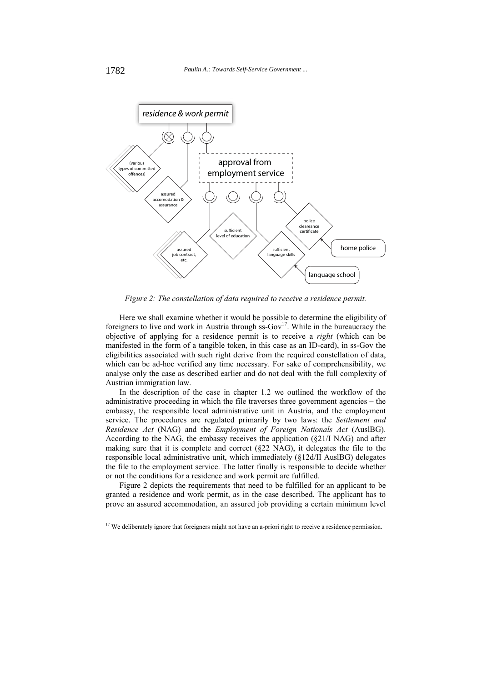

*Figure 2: The constellation of data required to receive a residence permit.* 

Here we shall examine whether it would be possible to determine the eligibility of foreigners to live and work in Austria through  $\text{ss-Gov}^{17}$ . While in the bureaucracy the objective of applying for a residence permit is to receive a *right* (which can be manifested in the form of a tangible token, in this case as an ID-card), in ss-Gov the eligibilities associated with such right derive from the required constellation of data, which can be ad-hoc verified any time necessary. For sake of comprehensibility, we analyse only the case as described earlier and do not deal with the full complexity of Austrian immigration law.

In the description of the case in chapter 1.2 we outlined the workflow of the administrative proceeding in which the file traverses three government agencies – the embassy, the responsible local administrative unit in Austria, and the employment service. The procedures are regulated primarily by two laws: the *Settlement and Residence Act* (NAG) and the *Employment of Foreign Nationals Act* (AuslBG). According to the NAG, the embassy receives the application (§21/I NAG) and after making sure that it is complete and correct  $(\& 22 \text{ NAG})$ , it delegates the file to the responsible local administrative unit, which immediately (§12d/II AuslBG) delegates the file to the employment service. The latter finally is responsible to decide whether or not the conditions for a residence and work permit are fulfilled.

Figure 2 depicts the requirements that need to be fulfilled for an applicant to be granted a residence and work permit, as in the case described. The applicant has to prove an assured accommodation, an assured job providing a certain minimum level

l

<sup>&</sup>lt;sup>17</sup> We deliberately ignore that foreigners might not have an a-priori right to receive a residence permission.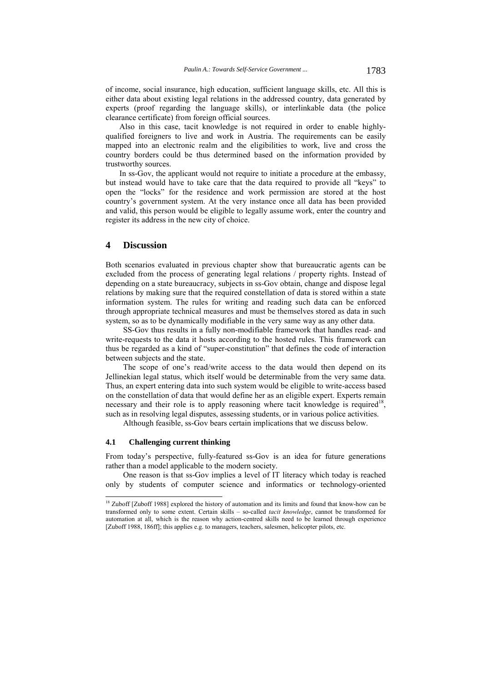of income, social insurance, high education, sufficient language skills, etc. All this is either data about existing legal relations in the addressed country, data generated by experts (proof regarding the language skills), or interlinkable data (the police clearance certificate) from foreign official sources.

Also in this case, tacit knowledge is not required in order to enable highlyqualified foreigners to live and work in Austria. The requirements can be easily mapped into an electronic realm and the eligibilities to work, live and cross the country borders could be thus determined based on the information provided by trustworthy sources.

In ss-Gov, the applicant would not require to initiate a procedure at the embassy, but instead would have to take care that the data required to provide all "keys" to open the "locks" for the residence and work permission are stored at the host country's government system. At the very instance once all data has been provided and valid, this person would be eligible to legally assume work, enter the country and register its address in the new city of choice.

## **4 Discussion**

Both scenarios evaluated in previous chapter show that bureaucratic agents can be excluded from the process of generating legal relations / property rights. Instead of depending on a state bureaucracy, subjects in ss-Gov obtain, change and dispose legal relations by making sure that the required constellation of data is stored within a state information system. The rules for writing and reading such data can be enforced through appropriate technical measures and must be themselves stored as data in such system, so as to be dynamically modifiable in the very same way as any other data.

SS-Gov thus results in a fully non-modifiable framework that handles read- and write-requests to the data it hosts according to the hosted rules. This framework can thus be regarded as a kind of "super-constitution" that defines the code of interaction between subjects and the state.

The scope of one's read/write access to the data would then depend on its Jellinekian legal status, which itself would be determinable from the very same data. Thus, an expert entering data into such system would be eligible to write-access based on the constellation of data that would define her as an eligible expert. Experts remain necessary and their role is to apply reasoning where tacit knowledge is required<sup>18</sup>. such as in resolving legal disputes, assessing students, or in various police activities.

Although feasible, ss-Gov bears certain implications that we discuss below.

## **4.1 Challenging current thinking**

l

From today's perspective, fully-featured ss-Gov is an idea for future generations rather than a model applicable to the modern society.

One reason is that ss-Gov implies a level of IT literacy which today is reached only by students of computer science and informatics or technology-oriented

<sup>&</sup>lt;sup>18</sup> Zuboff [Zuboff 1988] explored the history of automation and its limits and found that know-how can be transformed only to some extent. Certain skills – so-called *tacit knowledge*, cannot be transformed for automation at all, which is the reason why action-centred skills need to be learned through experience [Zuboff 1988, 186ff]; this applies e.g. to managers, teachers, salesmen, helicopter pilots, etc.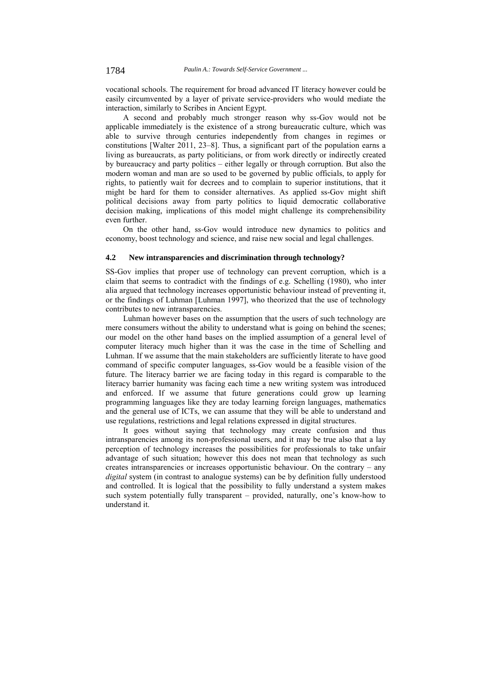vocational schools. The requirement for broad advanced IT literacy however could be easily circumvented by a layer of private service-providers who would mediate the interaction, similarly to Scribes in Ancient Egypt.

A second and probably much stronger reason why ss-Gov would not be applicable immediately is the existence of a strong bureaucratic culture, which was able to survive through centuries independently from changes in regimes or constitutions [Walter 2011, 23–8]. Thus, a significant part of the population earns a living as bureaucrats, as party politicians, or from work directly or indirectly created by bureaucracy and party politics – either legally or through corruption. But also the modern woman and man are so used to be governed by public officials, to apply for rights, to patiently wait for decrees and to complain to superior institutions, that it might be hard for them to consider alternatives. As applied ss-Gov might shift political decisions away from party politics to liquid democratic collaborative decision making, implications of this model might challenge its comprehensibility even further.

On the other hand, ss-Gov would introduce new dynamics to politics and economy, boost technology and science, and raise new social and legal challenges.

## **4.2 New intransparencies and discrimination through technology?**

SS-Gov implies that proper use of technology can prevent corruption, which is a claim that seems to contradict with the findings of e.g. Schelling (1980), who inter alia argued that technology increases opportunistic behaviour instead of preventing it, or the findings of Luhman [Luhman 1997], who theorized that the use of technology contributes to new intransparencies.

Luhman however bases on the assumption that the users of such technology are mere consumers without the ability to understand what is going on behind the scenes; our model on the other hand bases on the implied assumption of a general level of computer literacy much higher than it was the case in the time of Schelling and Luhman. If we assume that the main stakeholders are sufficiently literate to have good command of specific computer languages, ss-Gov would be a feasible vision of the future. The literacy barrier we are facing today in this regard is comparable to the literacy barrier humanity was facing each time a new writing system was introduced and enforced. If we assume that future generations could grow up learning programming languages like they are today learning foreign languages, mathematics and the general use of ICTs, we can assume that they will be able to understand and use regulations, restrictions and legal relations expressed in digital structures.

It goes without saying that technology may create confusion and thus intransparencies among its non-professional users, and it may be true also that a lay perception of technology increases the possibilities for professionals to take unfair advantage of such situation; however this does not mean that technology as such creates intransparencies or increases opportunistic behaviour. On the contrary – any *digital* system (in contrast to analogue systems) can be by definition fully understood and controlled. It is logical that the possibility to fully understand a system makes such system potentially fully transparent – provided, naturally, one's know-how to understand it.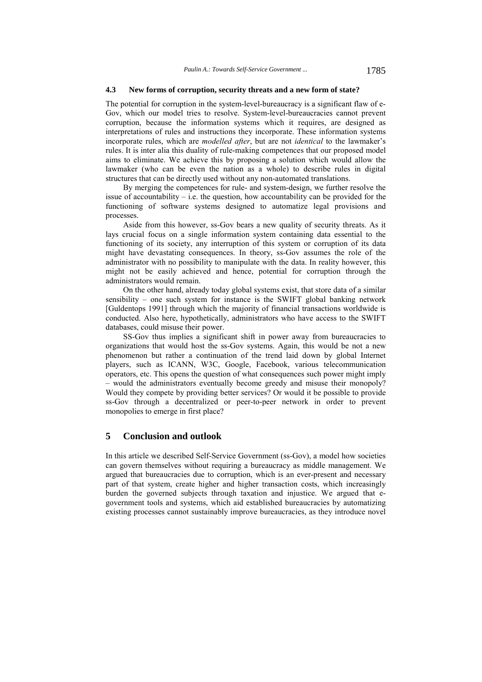### **4.3 New forms of corruption, security threats and a new form of state?**

The potential for corruption in the system-level-bureaucracy is a significant flaw of e-Gov, which our model tries to resolve. System-level-bureaucracies cannot prevent corruption, because the information systems which it requires, are designed as interpretations of rules and instructions they incorporate. These information systems incorporate rules, which are *modelled after*, but are not *identical* to the lawmaker's rules. It is inter alia this duality of rule-making competences that our proposed model aims to eliminate. We achieve this by proposing a solution which would allow the lawmaker (who can be even the nation as a whole) to describe rules in digital structures that can be directly used without any non-automated translations.

By merging the competences for rule- and system-design, we further resolve the issue of accountability  $-$  i.e. the question, how accountability can be provided for the functioning of software systems designed to automatize legal provisions and processes.

Aside from this however, ss-Gov bears a new quality of security threats. As it lays crucial focus on a single information system containing data essential to the functioning of its society, any interruption of this system or corruption of its data might have devastating consequences. In theory, ss-Gov assumes the role of the administrator with no possibility to manipulate with the data. In reality however, this might not be easily achieved and hence, potential for corruption through the administrators would remain.

On the other hand, already today global systems exist, that store data of a similar sensibility – one such system for instance is the SWIFT global banking network [Guldentops 1991] through which the majority of financial transactions worldwide is conducted. Also here, hypothetically, administrators who have access to the SWIFT databases, could misuse their power.

SS-Gov thus implies a significant shift in power away from bureaucracies to organizations that would host the ss-Gov systems. Again, this would be not a new phenomenon but rather a continuation of the trend laid down by global Internet players, such as ICANN, W3C, Google, Facebook, various telecommunication operators, etc. This opens the question of what consequences such power might imply – would the administrators eventually become greedy and misuse their monopoly? Would they compete by providing better services? Or would it be possible to provide ss-Gov through a decentralized or peer-to-peer network in order to prevent monopolies to emerge in first place?

## **5 Conclusion and outlook**

In this article we described Self-Service Government (ss-Gov), a model how societies can govern themselves without requiring a bureaucracy as middle management. We argued that bureaucracies due to corruption, which is an ever-present and necessary part of that system, create higher and higher transaction costs, which increasingly burden the governed subjects through taxation and injustice. We argued that egovernment tools and systems, which aid established bureaucracies by automatizing existing processes cannot sustainably improve bureaucracies, as they introduce novel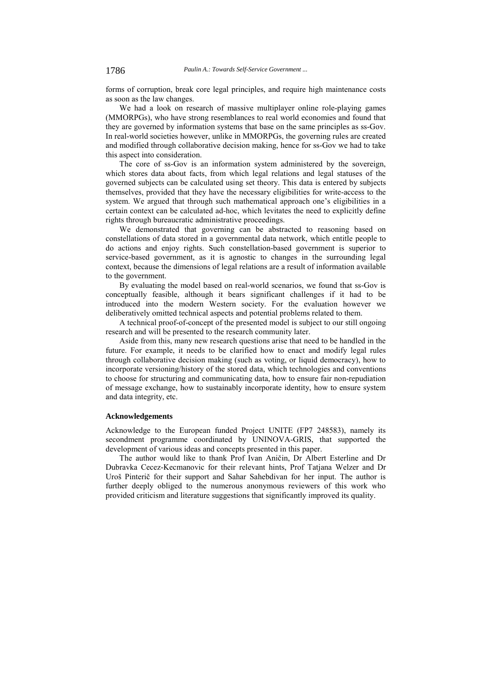forms of corruption, break core legal principles, and require high maintenance costs as soon as the law changes.

We had a look on research of massive multiplayer online role-playing games (MMORPGs), who have strong resemblances to real world economies and found that they are governed by information systems that base on the same principles as ss-Gov. In real-world societies however, unlike in MMORPGs, the governing rules are created and modified through collaborative decision making, hence for ss-Gov we had to take this aspect into consideration.

The core of ss-Gov is an information system administered by the sovereign, which stores data about facts, from which legal relations and legal statuses of the governed subjects can be calculated using set theory. This data is entered by subjects themselves, provided that they have the necessary eligibilities for write-access to the system. We argued that through such mathematical approach one's eligibilities in a certain context can be calculated ad-hoc, which levitates the need to explicitly define rights through bureaucratic administrative proceedings.

We demonstrated that governing can be abstracted to reasoning based on constellations of data stored in a governmental data network, which entitle people to do actions and enjoy rights. Such constellation-based government is superior to service-based government, as it is agnostic to changes in the surrounding legal context, because the dimensions of legal relations are a result of information available to the government.

By evaluating the model based on real-world scenarios, we found that ss-Gov is conceptually feasible, although it bears significant challenges if it had to be introduced into the modern Western society. For the evaluation however we deliberatively omitted technical aspects and potential problems related to them.

A technical proof-of-concept of the presented model is subject to our still ongoing research and will be presented to the research community later.

Aside from this, many new research questions arise that need to be handled in the future. For example, it needs to be clarified how to enact and modify legal rules through collaborative decision making (such as voting, or liquid democracy), how to incorporate versioning/history of the stored data, which technologies and conventions to choose for structuring and communicating data, how to ensure fair non-repudiation of message exchange, how to sustainably incorporate identity, how to ensure system and data integrity, etc.

## **Acknowledgements**

Acknowledge to the European funded Project UNITE (FP7 248583), namely its secondment programme coordinated by UNINOVA-GRIS, that supported the development of various ideas and concepts presented in this paper.

The author would like to thank Prof Ivan Aničin, Dr Albert Esterline and Dr Dubravka Cecez-Kecmanovic for their relevant hints, Prof Tatjana Welzer and Dr Uroš Pinterič for their support and Sahar Sahebdivan for her input. The author is further deeply obliged to the numerous anonymous reviewers of this work who provided criticism and literature suggestions that significantly improved its quality.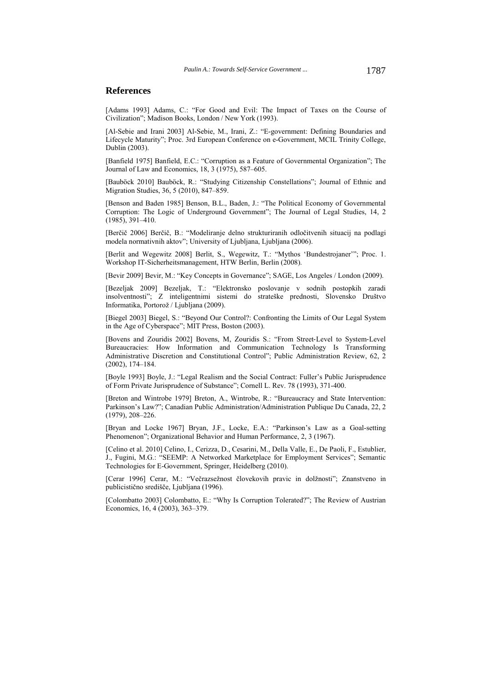## **References**

[Adams 1993] Adams, C.: "For Good and Evil: The Impact of Taxes on the Course of Civilization"; Madison Books, London / New York (1993).

[Al-Sebie and Irani 2003] Al-Sebie, M., Irani, Z.: "E-government: Defining Boundaries and Lifecycle Maturity"; Proc. 3rd European Conference on e-Government, MCIL Trinity College, Dublin (2003).

[Banfield 1975] Banfield, E.C.: "Corruption as a Feature of Governmental Organization"; The Journal of Law and Economics, 18, 3 (1975), 587–605.

[Bauböck 2010] Bauböck, R.: "Studying Citizenship Constellations"; Journal of Ethnic and Migration Studies, 36, 5 (2010), 847–859.

[Benson and Baden 1985] Benson, B.L., Baden, J.: "The Political Economy of Governmental Corruption: The Logic of Underground Government"; The Journal of Legal Studies, 14, 2 (1985), 391–410.

[Berčič 2006] Berčič, B.: "Modeliranje delno strukturiranih odločitvenih situacij na podlagi modela normativnih aktov"; University of Ljubljana, Ljubljana (2006).

[Berlit and Wegewitz 2008] Berlit, S., Wegewitz, T.: "Mythos 'Bundestrojaner'"; Proc. 1. Workshop IT-Sicherheitsmanagement, HTW Berlin, Berlin (2008).

[Bevir 2009] Bevir, M.: "Key Concepts in Governance"; SAGE, Los Angeles / London (2009).

[Bezeljak 2009] Bezeljak, T.: "Elektronsko poslovanje v sodnih postopkih zaradi insolventnosti"; Z inteligentnimi sistemi do strateške prednosti, Slovensko Društvo Informatika, Portorož / Ljubljana (2009).

[Biegel 2003] Biegel, S.: "Beyond Our Control?: Confronting the Limits of Our Legal System in the Age of Cyberspace"; MIT Press, Boston (2003).

[Bovens and Zouridis 2002] Bovens, M, Zouridis S.: "From Street‐Level to System‐Level Bureaucracies: How Information and Communication Technology Is Transforming Administrative Discretion and Constitutional Control"; Public Administration Review, 62, 2 (2002), 174–184.

[Boyle 1993] Boyle, J.: "Legal Realism and the Social Contract: Fuller's Public Jurisprudence of Form Private Jurisprudence of Substance"; Cornell L. Rev. 78 (1993), 371-400.

[Breton and Wintrobe 1979] Breton, A., Wintrobe, R.: "Bureaucracy and State Intervention: Parkinson's Law?"; Canadian Public Administration/Administration Publique Du Canada, 22, 2 (1979), 208–226.

[Bryan and Locke 1967] Bryan, J.F., Locke, E.A.: "Parkinson's Law as a Goal-setting Phenomenon"; Organizational Behavior and Human Performance, 2, 3 (1967).

[Celino et al. 2010] Celino, I., Cerizza, D., Cesarini, M., Della Valle, E., De Paoli, F., Estublier, J., Fugini, M.G.: "SEEMP: A Networked Marketplace for Employment Services"; Semantic Technologies for E-Government, Springer, Heidelberg (2010).

[Cerar 1996] Cerar, M.: "Večrazsežnost človekovih pravic in dolžnosti"; Znanstveno in publicistično središče, Ljubljana (1996).

[Colombatto 2003] Colombatto, E.: "Why Is Corruption Tolerated?"; The Review of Austrian Economics, 16, 4 (2003), 363–379.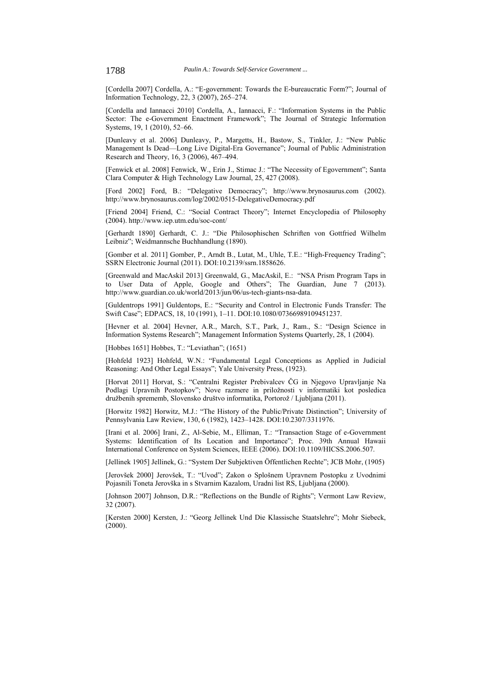[Cordella 2007] Cordella, A.: "E-government: Towards the E-bureaucratic Form?"; Journal of Information Technology, 22, 3 (2007), 265–274.

[Cordella and Iannacci 2010] Cordella, A., Iannacci, F.: "Information Systems in the Public Sector: The e-Government Enactment Framework"; The Journal of Strategic Information Systems, 19, 1 (2010), 52–66.

[Dunleavy et al. 2006] Dunleavy, P., Margetts, H., Bastow, S., Tinkler, J.: "New Public Management Is Dead—Long Live Digital-Era Governance"; Journal of Public Administration Research and Theory, 16, 3 (2006), 467–494.

[Fenwick et al. 2008] Fenwick, W., Erin J., Stimac J.: "The Necessity of Egovernment"; Santa Clara Computer & High Technology Law Journal, 25, 427 (2008).

[Ford 2002] Ford, B.: "Delegative Democracy"; http://www.brynosaurus.com (2002). http://www.brynosaurus.com/log/2002/0515-DelegativeDemocracy.pdf

[Friend 2004] Friend, C.: "Social Contract Theory"; Internet Encyclopedia of Philosophy (2004). http://www.iep.utm.edu/soc-cont/

[Gerhardt 1890] Gerhardt, C. J.: "Die Philosophischen Schriften von Gottfried Wilhelm Leibniz"; Weidmannsche Buchhandlung (1890).

[Gomber et al. 2011] Gomber, P., Arndt B., Lutat, M., Uhle, T.E.: "High-Frequency Trading"; SSRN Electronic Journal (2011). DOI:10.2139/ssrn.1858626.

[Greenwald and MacAskil 2013] Greenwald, G., MacAskil, E.: "NSA Prism Program Taps in to User Data of Apple, Google and Others"; The Guardian, June 7 (2013). http://www.guardian.co.uk/world/2013/jun/06/us-tech-giants-nsa-data.

[Guldentrops 1991] Guldentops, E.: "Security and Control in Electronic Funds Transfer: The Swift Case"; EDPACS, 18, 10 (1991), 1–11. DOI:10.1080/07366989109451237.

[Hevner et al. 2004] Hevner, A.R., March, S.T., Park, J., Ram., S.: "Design Science in Information Systems Research"; Management Information Systems Quarterly, 28, 1 (2004).

[Hobbes 1651] Hobbes, T.: "Leviathan"; (1651)

[Hohfeld 1923] Hohfeld, W.N.: "Fundamental Legal Conceptions as Applied in Judicial Reasoning: And Other Legal Essays"; Yale University Press, (1923).

[Horvat 2011] Horvat, S.: "Centralni Register Prebivalcev ČG in Njegovo Upravljanje Na Podlagi Upravnih Postopkov"; Nove razmere in priložnosti v informatiki kot posledica družbenih sprememb, Slovensko društvo informatika, Portorož / Ljubljana (2011).

[Horwitz 1982] Horwitz, M.J.: "The History of the Public/Private Distinction"; University of Pennsylvania Law Review, 130, 6 (1982), 1423–1428. DOI:10.2307/3311976.

[Irani et al. 2006] Irani, Z., Al-Sebie, M., Elliman, T.: "Transaction Stage of e-Government Systems: Identification of Its Location and Importance"; Proc. 39th Annual Hawaii International Conference on System Sciences, IEEE (2006). DOI:10.1109/HICSS.2006.507.

[Jellinek 1905] Jellinek, G.: "System Der Subjektiven Öffentlichen Rechte"; JCB Mohr, (1905)

[Jerovšek 2000] Jerovšek, T.: "Uvod"; Zakon o Splošnem Upravnem Postopku z Uvodnimi Pojasnili Toneta Jerovška in s Stvarnim Kazalom, Uradni list RS, Ljubljana (2000).

[Johnson 2007] Johnson, D.R.: "Reflections on the Bundle of Rights"; Vermont Law Review, 32 (2007).

[Kersten 2000] Kersten, J.: "Georg Jellinek Und Die Klassische Staatslehre"; Mohr Siebeck, (2000).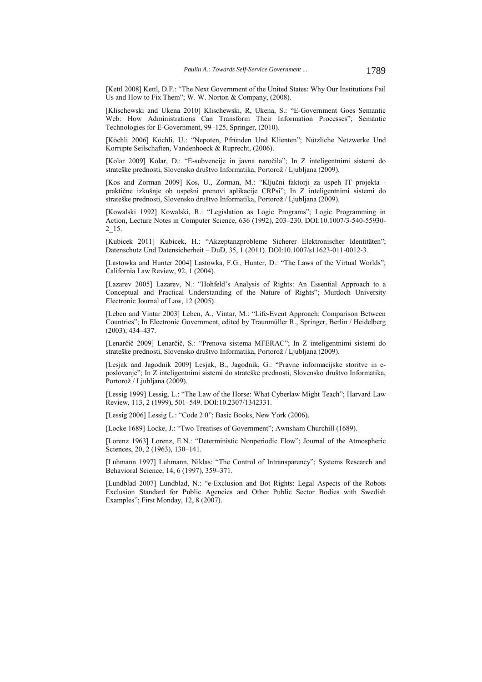[Kettl 2008] Kettl, D.F.: "The Next Government of the United States: Why Our Institutions Fail Us and How to Fix Them"; W. W. Norton & Company, (2008).

[Klischewski and Ukena 2010] Klischewski, R, Ukena, S.: "E-Government Goes Semantic Web: How Administrations Can Transform Their Information Processes"; Semantic Technologies for E-Government, 99–125, Springer, (2010).

[Köchli 2006] Köchli, U.: "Nepoten, Pfründen Und Klienten"; Nützliche Netzwerke Und Korrupte Seilschaften, Vandenhoeck & Ruprecht, (2006).

[Kolar 2009] Kolar, D.: "E-subvencije in javna naročila"; In Z inteligentnimi sistemi do strateške prednosti, Slovensko društvo Informatika, Portorož / Ljubljana (2009).

[Kos and Zorman 2009] Kos, U., Zorman, M.: "Ključni faktorji za uspeh IT projekta praktične izkušnje ob uspešni prenovi aplikacije CRPsi"; In Z inteligentnimi sistemi do strateške prednosti, Slovensko društvo Informatika, Portorož / Ljubljana (2009).

[Kowalski 1992] Kowalski, R.: "Legislation as Logic Programs"; Logic Programming in Action, Lecture Notes in Computer Science, 636 (1992), 203–230. DOI:10.1007/3-540-55930- 2\_15.

[Kubicek 2011] Kubicek, H.: "Akzeptanzprobleme Sicherer Elektronischer Identitäten"; Datenschutz Und Datensicherheit – DuD, 35, 1 (2011). DOI:10.1007/s11623-011-0012-3.

[Lastowka and Hunter 2004] Lastowka, F.G., Hunter, D.: "The Laws of the Virtual Worlds"; California Law Review, 92, 1 (2004).

[Lazarev 2005] Lazarev, N.: "Hohfeld's Analysis of Rights: An Essential Approach to a Conceptual and Practical Understanding of the Nature of Rights"; Murdoch University Electronic Journal of Law, 12 (2005).

[Leben and Vintar 2003] Leben, A., Vintar, M.: "Life-Event Approach: Comparison Between Countries"; In Electronic Government, edited by Traunmüller R., Springer, Berlin / Heidelberg (2003), 434–437.

[Lenarčič 2009] Lenarčič, S.: "Prenova sistema MFERAC"; In Z inteligentnimi sistemi do strateške prednosti, Slovensko društvo Informatika, Portorož / Ljubljana (2009).

[Lesjak and Jagodnik 2009] Lesjak, B., Jagodnik, G.: "Pravne informacijske storitve in eposlovanje"; In Z inteligentnimi sistemi do strateške prednosti, Slovensko društvo Informatika, Portorož / Ljubljana (2009).

[Lessig 1999] Lessig, L.: "The Law of the Horse: What Cyberlaw Might Teach"; Harvard Law Review, 113, 2 (1999), 501–549. DOI:10.2307/1342331.

[Lessig 2006] Lessig L.: "Code 2.0"; Basic Books, New York (2006).

[Locke 1689] Locke, J.: "Two Treatises of Government"; Awnsham Churchill (1689).

[Lorenz 1963] Lorenz, E.N.: "Deterministic Nonperiodic Flow"; Journal of the Atmospheric Sciences, 20, 2 (1963), 130–141.

[Luhmann 1997] Luhmann, Niklas: "The Control of Intransparency"; Systems Research and Behavioral Science, 14, 6 (1997), 359–371.

[Lundblad 2007] Lundblad, N.: "e-Exclusion and Bot Rights: Legal Aspects of the Robots Exclusion Standard for Public Agencies and Other Public Sector Bodies with Swedish Examples"; First Monday, 12, 8 (2007).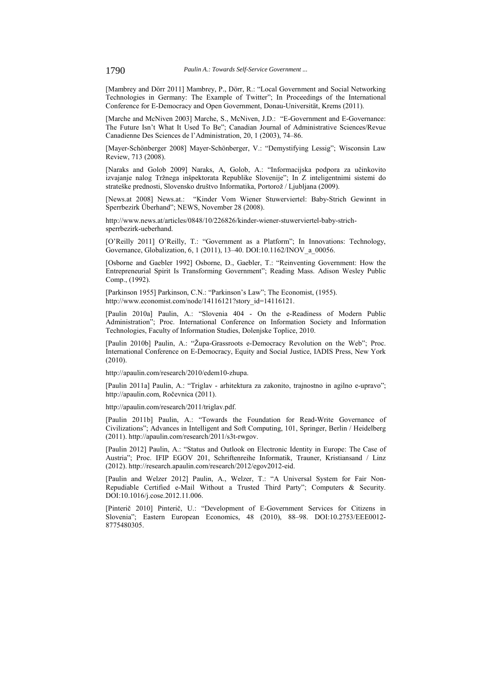[Mambrey and Dörr 2011] Mambrey, P., Dörr, R.: "Local Government and Social Networking Technologies in Germany: The Example of Twitter"; In Proceedings of the International Conference for E-Democracy and Open Government, Donau-Universität, Krems (2011).

[Marche and McNiven 2003] Marche, S., McNiven, J.D.: "E-Government and E-Governance: The Future Isn't What It Used To Be"; Canadian Journal of Administrative Sciences/Revue Canadienne Des Sciences de l'Administration, 20, 1 (2003), 74–86.

[Mayer-Schönberger 2008] Mayer-Schönberger, V.: "Demystifying Lessig"; Wisconsin Law Review, 713 (2008).

[Naraks and Golob 2009] Naraks, A, Golob, A.: "Informacijska podpora za učinkovito izvajanje nalog Tržnega inšpektorata Republike Slovenije"; In Z inteligentnimi sistemi do strateške prednosti, Slovensko društvo Informatika, Portorož / Ljubljana (2009).

[News.at 2008] News.at.: "Kinder Vom Wiener Stuwerviertel: Baby-Strich Gewinnt in Sperrbezirk Überhand"; NEWS, November 28 (2008).

http://www.news.at/articles/0848/10/226826/kinder-wiener-stuwerviertel-baby-strichsperrbezirk-ueberhand.

[O'Reilly 2011] O'Reilly, T.: "Government as a Platform"; In Innovations: Technology, Governance, Globalization, 6, 1 (2011), 13–40. DOI:10.1162/INOV\_a\_00056.

[Osborne and Gaebler 1992] Osborne, D., Gaebler, T.: "Reinventing Government: How the Entrepreneurial Spirit Is Transforming Government"; Reading Mass. Adison Wesley Public Comp., (1992).

[Parkinson 1955] Parkinson, C.N.: "Parkinson's Law"; The Economist, (1955). http://www.economist.com/node/14116121?story\_id=14116121.

[Paulin 2010a] Paulin, A.: "Slovenia 404 - On the e-Readiness of Modern Public Administration"; Proc. International Conference on Information Society and Information Technologies, Faculty of Information Studies, Dolenjske Toplice, 2010.

[Paulin 2010b] Paulin, A.: "Župa-Grassroots e-Democracy Revolution on the Web"; Proc. International Conference on E-Democracy, Equity and Social Justice, IADIS Press, New York (2010).

http://apaulin.com/research/2010/edem10-zhupa.

[Paulin 2011a] Paulin, A.: "Triglav - arhitektura za zakonito, trajnostno in agilno e-upravo"; http://apaulin.com, Ročevnica (2011).

http://apaulin.com/research/2011/triglav.pdf.

[Paulin 2011b] Paulin, A.: "Towards the Foundation for Read-Write Governance of Civilizations"; Advances in Intelligent and Soft Computing, 101, Springer, Berlin / Heidelberg (2011). http://apaulin.com/research/2011/s3t-rwgov.

[Paulin 2012] Paulin, A.: "Status and Outlook on Electronic Identity in Europe: The Case of Austria"; Proc. IFIP EGOV 201, Schriftenreihe Informatik, Trauner, Kristiansand / Linz (2012). http://research.apaulin.com/research/2012/egov2012-eid.

[Paulin and Welzer 2012] Paulin, A., Welzer, T.: "A Universal System for Fair Non-Repudiable Certified e-Mail Without a Trusted Third Party"; Computers & Security. DOI:10.1016/j.cose.2012.11.006.

[Pinterič 2010] Pinterič, U.: "Development of E-Government Services for Citizens in Slovenia"; Eastern European Economics, 48 (2010), 88–98. DOI:10.2753/EEE0012- 8775480305.